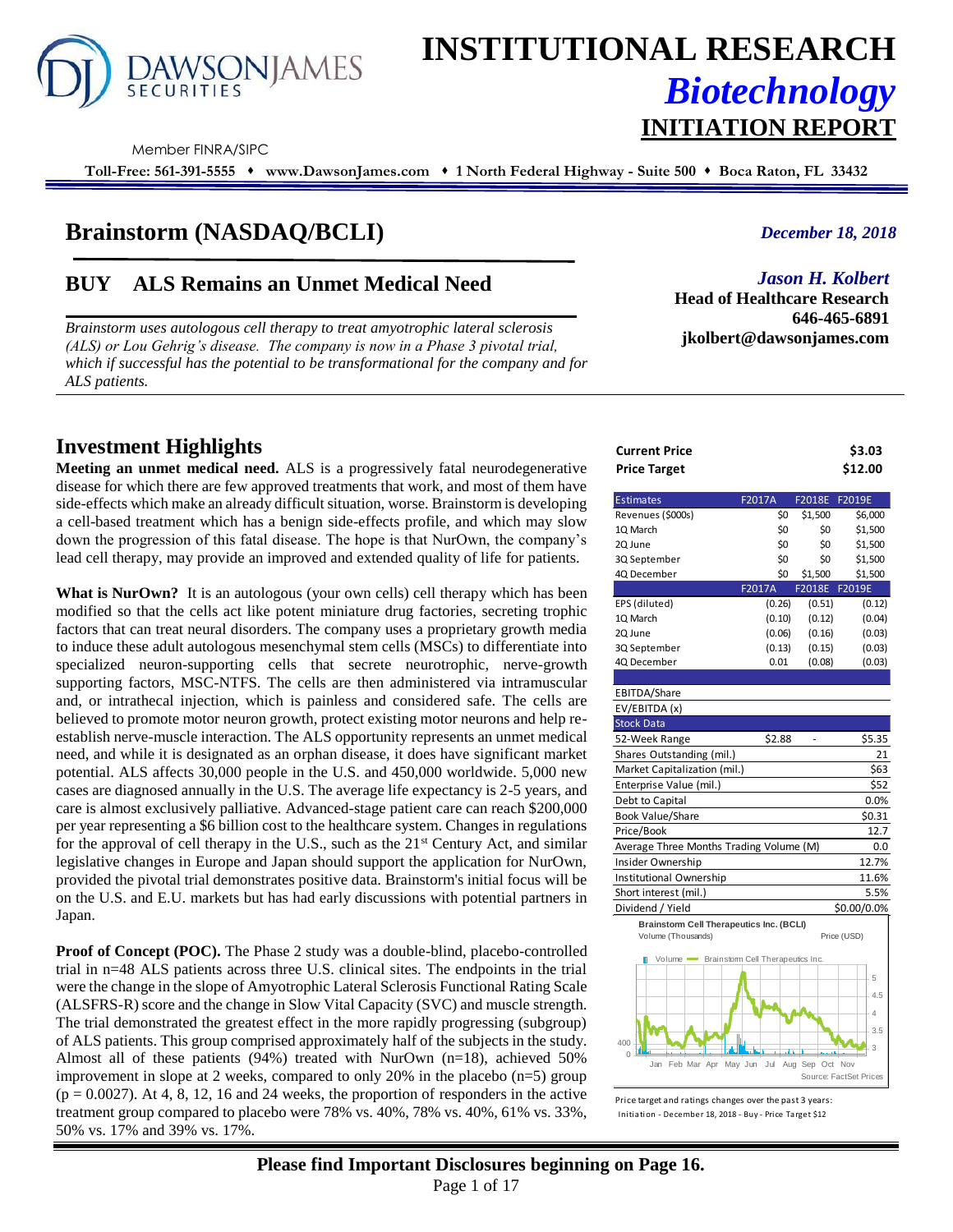

# **INSTITUTIONAL RESEARCH** *Biotechnology* **INITIATION REPORT**

Member FINRA/SIPC

**Toll-Free: 561-391-5555** ⬧ **www.DawsonJames.com** ⬧ **1 North Federal Highway - Suite 500** ⬧ **Boca Raton, FL 33432**

# **Brainstorm (NASDAQ/BCLI)**

# **BUY ALS Remains an Unmet Medical Need**

*Brainstorm uses autologous cell therapy to treat amyotrophic lateral sclerosis (ALS) or Lou Gehrig's disease. The company is now in a Phase 3 pivotal trial, which if successful has the potential to be transformational for the company and for ALS patients.*

## **Investment Highlights**

**Meeting an unmet medical need.** ALS is a progressively fatal neurodegenerative disease for which there are few approved treatments that work, and most of them have side-effects which make an already difficult situation, worse. Brainstorm is developing a cell-based treatment which has a benign side-effects profile, and which may slow down the progression of this fatal disease. The hope is that NurOwn, the company's lead cell therapy, may provide an improved and extended quality of life for patients.

**What is NurOwn?** It is an autologous (your own cells) cell therapy which has been modified so that the cells act like potent miniature drug factories, secreting trophic factors that can treat neural disorders. The company uses a proprietary growth media to induce these adult autologous mesenchymal stem cells (MSCs) to differentiate into specialized neuron-supporting cells that secrete neurotrophic, nerve-growth supporting factors, MSC-NTFS. The cells are then administered via intramuscular and, or intrathecal injection, which is painless and considered safe. The cells are believed to promote motor neuron growth, protect existing motor neurons and help reestablish nerve-muscle interaction. The ALS opportunity represents an unmet medical need, and while it is designated as an orphan disease, it does have significant market potential. ALS affects 30,000 people in the U.S. and 450,000 worldwide. 5,000 new cases are diagnosed annually in the U.S. The average life expectancy is 2-5 years, and care is almost exclusively palliative. Advanced-stage patient care can reach \$200,000 per year representing a \$6 billion cost to the healthcare system. Changes in regulations for the approval of cell therapy in the U.S., such as the  $21<sup>st</sup>$  Century Act, and similar legislative changes in Europe and Japan should support the application for NurOwn, provided the pivotal trial demonstrates positive data. Brainstorm's initial focus will be on the U.S. and E.U. markets but has had early discussions with potential partners in Japan.

**Proof of Concept (POC).** The Phase 2 study was a double-blind, placebo-controlled trial in n=48 ALS patients across three U.S. clinical sites. The endpoints in the trial were the change in the slope of Amyotrophic Lateral Sclerosis Functional Rating Scale (ALSFRS-R) score and the change in Slow Vital Capacity (SVC) and muscle strength. The trial demonstrated the greatest effect in the more rapidly progressing (subgroup) of ALS patients. This group comprised approximately half of the subjects in the study. Almost all of these patients (94%) treated with NurOwn  $(n=18)$ , achieved 50% improvement in slope at 2 weeks, compared to only 20% in the placebo (n=5) group  $(p = 0.0027)$ . At 4, 8, 12, 16 and 24 weeks, the proportion of responders in the active treatment group compared to placebo were 78% vs. 40%, 78% vs. 40%, 61% vs. 33%, 50% vs. 17% and 39% vs. 17%.

#### *December 18, 2018*

*Jason H. Kolbert*

**Head of Healthcare Research 646-465-6891 jkolbert@dawsonjames.com**

| Current Price | \$3.03  |
|---------------|---------|
| Price Target  | \$12.00 |

| <b>Estimates</b>                                | F2017A         | F2018E F2019E   |                        |
|-------------------------------------------------|----------------|-----------------|------------------------|
| Revenues (\$000s)                               | \$0            | \$1,500         | \$6,000                |
| 1Q March                                        | \$0            | \$0             | \$1,500                |
| 2Q June                                         | \$0            | \$0             | \$1,500                |
| 3Q September                                    | \$0            | \$0             | \$1,500                |
| 4Q December                                     | Ś0             | \$1,500         | \$1,500                |
|                                                 | F2017A         |                 | F2018E F2019E          |
| EPS (diluted)                                   | (0.26)         | (0.51)          | (0.12)                 |
| 1Q March                                        | (0.10)         | (0.12)          | (0.04)                 |
| 2Q June                                         | (0.06)         | (0.16)          | (0.03)                 |
| 3Q September                                    | (0.13)         | (0.15)          | (0.03)                 |
| 4Q December                                     | 0.01           | (0.08)          | (0.03)                 |
|                                                 |                |                 |                        |
| EBITDA/Share                                    |                |                 |                        |
| EV/EBITDA (x)                                   |                |                 |                        |
| <b>Stock Data</b>                               |                |                 |                        |
| 52-Week Range                                   | \$2.88         |                 | \$5.35                 |
| Shares Outstanding (mil.)                       |                |                 | 21                     |
| Market Capitalization (mil.)                    |                |                 | \$63                   |
| Enterprise Value (mil.)                         |                |                 | \$52                   |
| Debt to Capital                                 |                |                 | 0.0%                   |
| Book Value/Share                                |                |                 | \$0.31                 |
| Price/Book                                      |                |                 | 12.7                   |
| Average Three Months Trading Volume (M)         |                |                 | 0.0                    |
| Insider Ownership                               |                |                 | 12.7%                  |
| Institutional Ownership                         |                |                 | 11.6%                  |
| Short interest (mil.)                           |                |                 | 5.5%                   |
| Dividend / Yield                                |                |                 | \$0.00/0.0%            |
| <b>Brainstorm Cell Therapeutics Inc. (BCLI)</b> |                |                 |                        |
| Volume (Thousands)                              |                |                 | Price (USD)            |
| Volume Brainstom Cell Therapeutics Inc.         |                |                 |                        |
|                                                 |                |                 | 5                      |
|                                                 |                |                 | 4.5                    |
|                                                 |                |                 | 4                      |
|                                                 |                |                 |                        |
| 400                                             |                |                 | 3.5<br>3               |
| Λ                                               |                |                 |                        |
| Feb Mar Apr<br>Jan                              | Jul<br>May Jun | Aug Sep Oct Nov | Source: FactSet Prices |

Price target and ratings changes over the past 3 years: Initiation - December 18, 2018 - Buy - Price Target \$12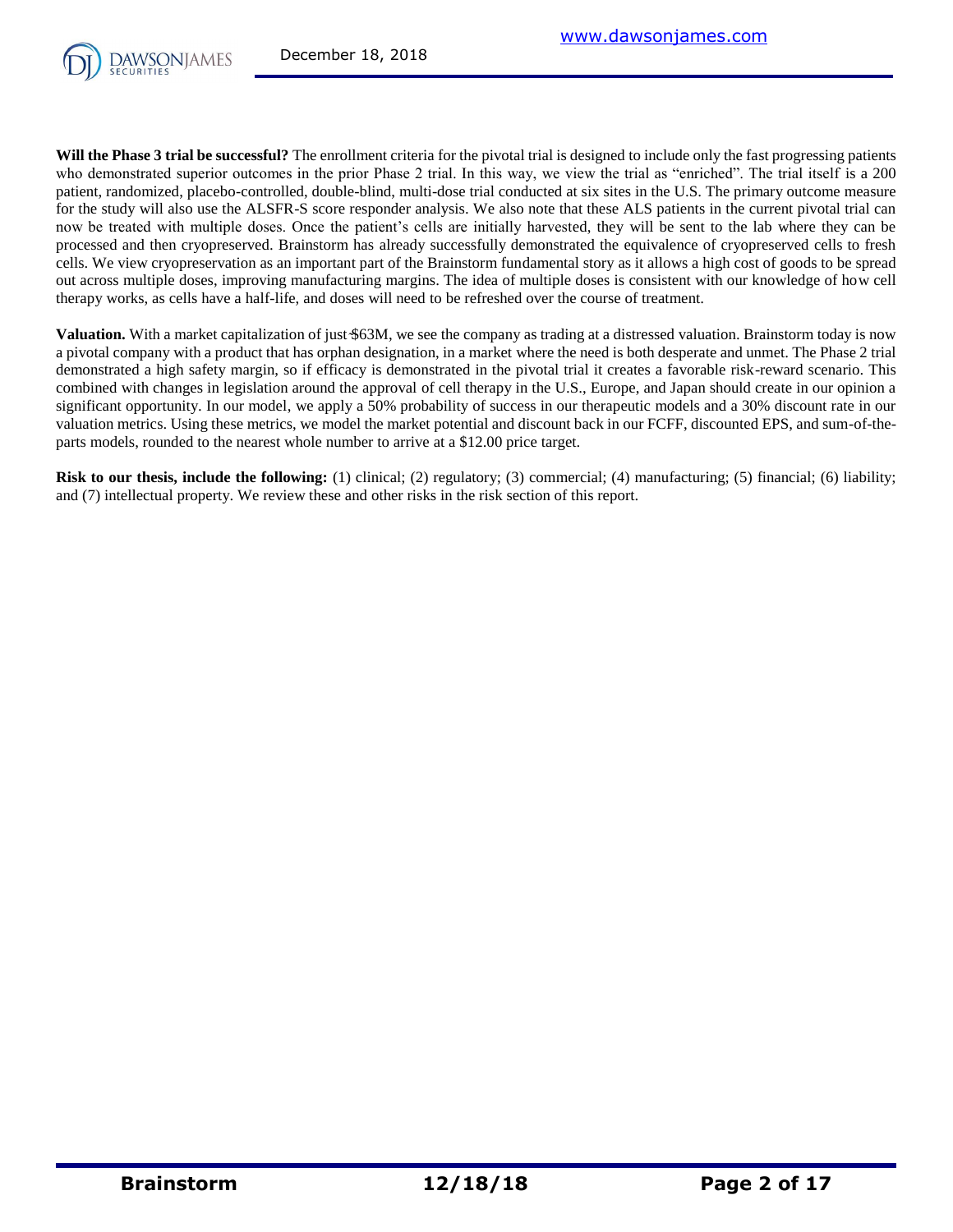

**Will the Phase 3 trial be successful?** The enrollment criteria for the pivotal trial is designed to include only the fast progressing patients who demonstrated superior outcomes in the prior Phase 2 trial. In this way, we view the trial as "enriched". The trial itself is a 200 patient, randomized, placebo-controlled, double-blind, multi-dose trial conducted at six sites in the U.S. The primary outcome measure for the study will also use the ALSFR-S score responder analysis. We also note that these ALS patients in the current pivotal trial can now be treated with multiple doses. Once the patient's cells are initially harvested, they will be sent to the lab where they can be processed and then cryopreserved. Brainstorm has already successfully demonstrated the equivalence of cryopreserved cells to fresh cells. We view cryopreservation as an important part of the Brainstorm fundamental story as it allows a high cost of goods to be spread out across multiple doses, improving manufacturing margins. The idea of multiple doses is consistent with our knowledge of how cell therapy works, as cells have a half-life, and doses will need to be refreshed over the course of treatment.

**Valuation.** With a market capitalization of just \$63M, we see the company as trading at a distressed valuation. Brainstorm today is now a pivotal company with a product that has orphan designation, in a market where the need is both desperate and unmet. The Phase 2 trial demonstrated a high safety margin, so if efficacy is demonstrated in the pivotal trial it creates a favorable risk-reward scenario. This combined with changes in legislation around the approval of cell therapy in the U.S., Europe, and Japan should create in our opinion a significant opportunity. In our model, we apply a 50% probability of success in our therapeutic models and a 30% discount rate in our valuation metrics. Using these metrics, we model the market potential and discount back in our FCFF, discounted EPS, and sum-of-theparts models, rounded to the nearest whole number to arrive at a \$12.00 price target.

**Risk to our thesis, include the following:** (1) clinical; (2) regulatory; (3) commercial; (4) manufacturing; (5) financial; (6) liability; and (7) intellectual property. We review these and other risks in the risk section of this report.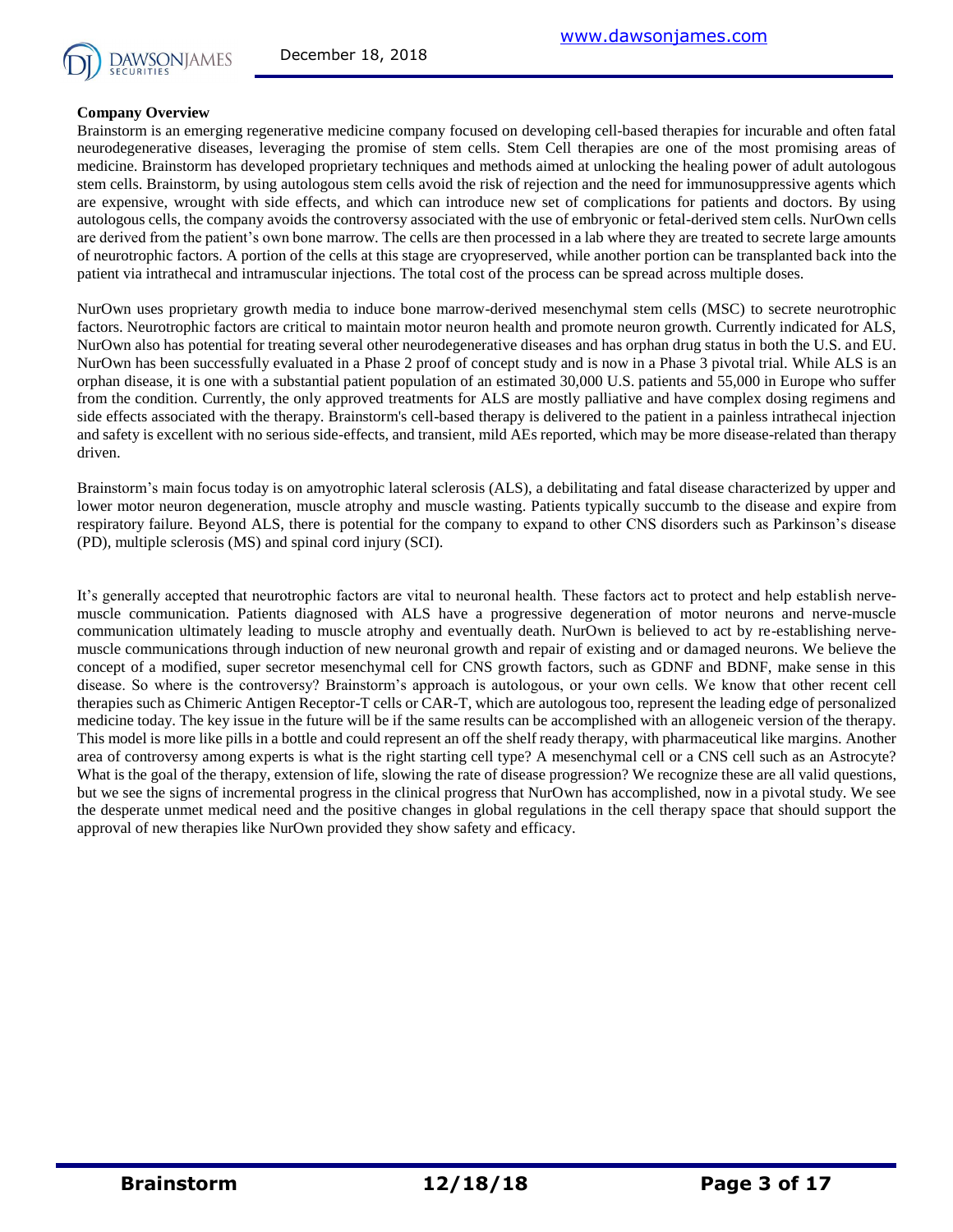

#### **Company Overview**

Brainstorm is an emerging regenerative medicine company focused on developing cell-based therapies for incurable and often fatal neurodegenerative diseases, leveraging the promise of stem cells. Stem Cell therapies are one of the most promising areas of medicine. Brainstorm has developed proprietary techniques and methods aimed at unlocking the healing power of adult autologous stem cells. Brainstorm, by using autologous stem cells avoid the risk of rejection and the need for immunosuppressive agents which are expensive, wrought with side effects, and which can introduce new set of complications for patients and doctors. By using autologous cells, the company avoids the controversy associated with the use of embryonic or fetal-derived stem cells. NurOwn cells are derived from the patient's own bone marrow. The cells are then processed in a lab where they are treated to secrete large amounts of neurotrophic factors. A portion of the cells at this stage are cryopreserved, while another portion can be transplanted back into the patient via intrathecal and intramuscular injections. The total cost of the process can be spread across multiple doses.

NurOwn uses proprietary growth media to induce bone marrow-derived mesenchymal stem cells (MSC) to secrete neurotrophic factors. Neurotrophic factors are critical to maintain motor neuron health and promote neuron growth. Currently indicated for ALS, NurOwn also has potential for treating several other neurodegenerative diseases and has orphan drug status in both the U.S. and EU. NurOwn has been successfully evaluated in a Phase 2 proof of concept study and is now in a Phase 3 pivotal trial. While ALS is an orphan disease, it is one with a substantial patient population of an estimated 30,000 U.S. patients and 55,000 in Europe who suffer from the condition. Currently, the only approved treatments for ALS are mostly palliative and have complex dosing regimens and side effects associated with the therapy. Brainstorm's cell-based therapy is delivered to the patient in a painless intrathecal injection and safety is excellent with no serious side-effects, and transient, mild AEs reported, which may be more disease-related than therapy driven.

Brainstorm's main focus today is on amyotrophic lateral sclerosis (ALS), a debilitating and fatal disease characterized by upper and lower motor neuron degeneration, muscle atrophy and muscle wasting. Patients typically succumb to the disease and expire from respiratory failure. Beyond ALS, there is potential for the company to expand to other CNS disorders such as Parkinson's disease (PD), multiple sclerosis (MS) and spinal cord injury (SCI).

It's generally accepted that neurotrophic factors are vital to neuronal health. These factors act to protect and help establish nervemuscle communication. Patients diagnosed with ALS have a progressive degeneration of motor neurons and nerve-muscle communication ultimately leading to muscle atrophy and eventually death. NurOwn is believed to act by re-establishing nervemuscle communications through induction of new neuronal growth and repair of existing and or damaged neurons. We believe the concept of a modified, super secretor mesenchymal cell for CNS growth factors, such as GDNF and BDNF, make sense in this disease. So where is the controversy? Brainstorm's approach is autologous, or your own cells. We know that other recent cell therapies such as Chimeric Antigen Receptor-T cells or CAR-T, which are autologous too, represent the leading edge of personalized medicine today. The key issue in the future will be if the same results can be accomplished with an allogeneic version of the therapy. This model is more like pills in a bottle and could represent an off the shelf ready therapy, with pharmaceutical like margins. Another area of controversy among experts is what is the right starting cell type? A mesenchymal cell or a CNS cell such as an Astrocyte? What is the goal of the therapy, extension of life, slowing the rate of disease progression? We recognize these are all valid questions, but we see the signs of incremental progress in the clinical progress that NurOwn has accomplished, now in a pivotal study. We see the desperate unmet medical need and the positive changes in global regulations in the cell therapy space that should support the approval of new therapies like NurOwn provided they show safety and efficacy.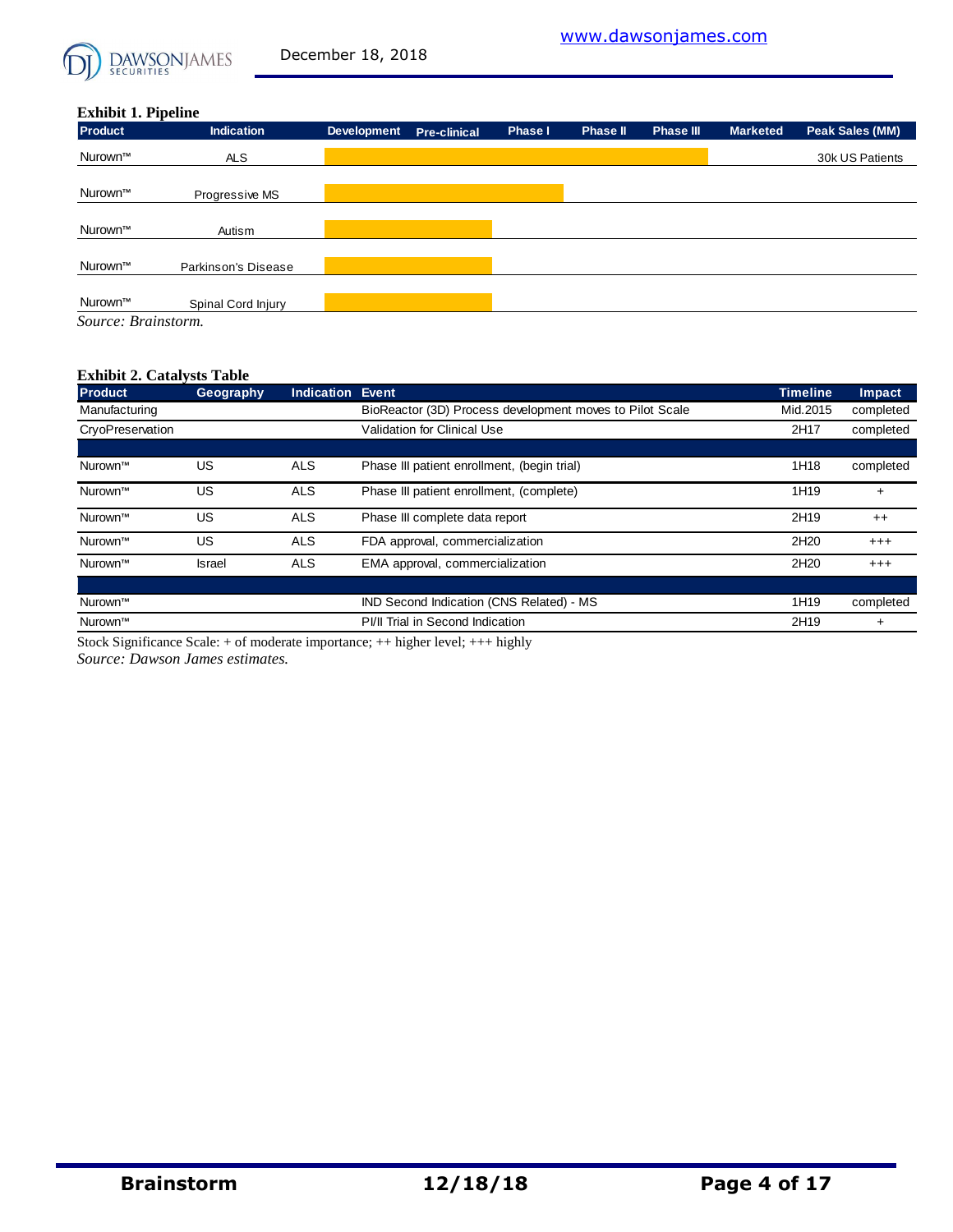

#### **Exhibit 1. Pipeline**

| <b>Product</b>      | -<br><b>Indication</b> | <b>Development</b> | <b>Pre-clinical</b> | Phase I | <b>Phase II</b> | <b>Phase III</b> | <b>Marketed</b> | Peak Sales (MM) |
|---------------------|------------------------|--------------------|---------------------|---------|-----------------|------------------|-----------------|-----------------|
| Nurown™             | <b>ALS</b>             |                    |                     |         |                 |                  |                 | 30k US Patients |
|                     |                        |                    |                     |         |                 |                  |                 |                 |
| Nurown™             | Progressive MS         |                    |                     |         |                 |                  |                 |                 |
|                     |                        |                    |                     |         |                 |                  |                 |                 |
| Nurown™             | Autism                 |                    |                     |         |                 |                  |                 |                 |
|                     |                        |                    |                     |         |                 |                  |                 |                 |
| Nurown™             | Parkinson's Disease    |                    |                     |         |                 |                  |                 |                 |
|                     |                        |                    |                     |         |                 |                  |                 |                 |
| Nurown™             | Spinal Cord Injury     |                    |                     |         |                 |                  |                 |                 |
| Source: Brainstorm. |                        |                    |                     |         |                 |                  |                 |                 |

#### **Exhibit 2. Catalysts Table**

| <b>Product</b>   | Geography     | <b>Indication</b> | Event                                                    | <b>Timeline</b>  | Impact    |
|------------------|---------------|-------------------|----------------------------------------------------------|------------------|-----------|
| Manufacturing    |               |                   | BioReactor (3D) Process development moves to Pilot Scale | Mid.2015         | completed |
| CryoPreservation |               |                   | Validation for Clinical Use                              | 2H17             | completed |
|                  |               |                   |                                                          |                  |           |
| Nurown™          | US            | <b>ALS</b>        | Phase III patient enrollment, (begin trial)              | 1H18             | completed |
| Nurown™          | US            | <b>ALS</b>        | Phase III patient enrollment, (complete)                 | 1H19             | $\ddot{}$ |
| Nurown™          | US            | <b>ALS</b>        | Phase III complete data report                           | 2H19             | $++$      |
| Nurown™          | US            | <b>ALS</b>        | FDA approval, commercialization                          | 2H <sub>20</sub> | $^{+++}$  |
| Nurown™          | <b>Israel</b> | <b>ALS</b>        | EMA approval, commercialization                          | 2H <sub>20</sub> | $^{+++}$  |
|                  |               |                   |                                                          |                  |           |
| Nurown™          |               |                   | IND Second Indication (CNS Related) - MS                 | 1H <sub>19</sub> | completed |
| Nurown™          |               |                   | PI/II Trial in Second Indication                         | 2H19             | $\ddot{}$ |

Stock Significance Scale: + of moderate importance; ++ higher level; +++ highly Stock Significance Scale: + of moderate importance; ++ higher level; +++ highly

*Source: Dawson James estimates.*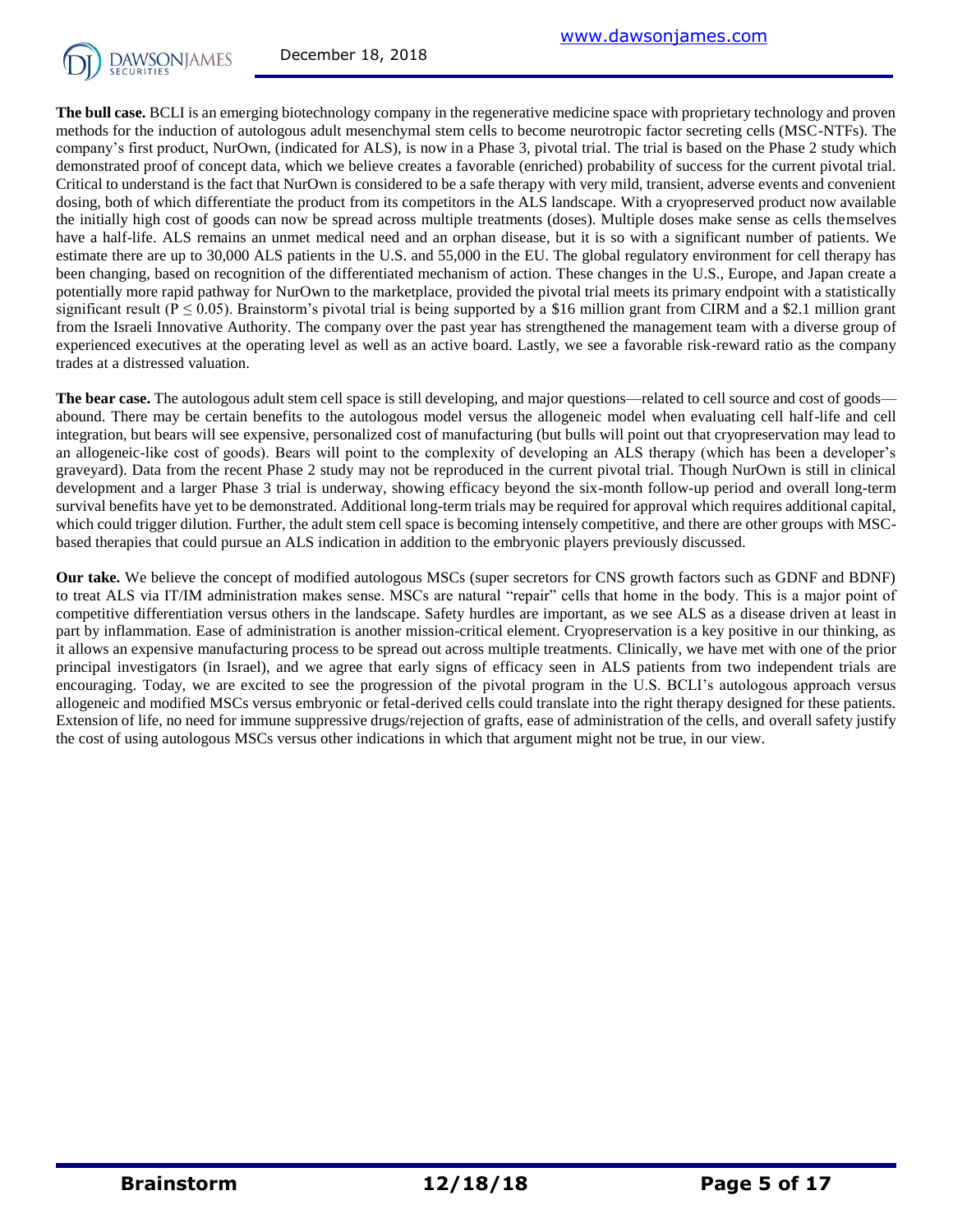

**The bull case.** BCLI is an emerging biotechnology company in the regenerative medicine space with proprietary technology and proven methods for the induction of autologous adult mesenchymal stem cells to become neurotropic factor secreting cells (MSC-NTFs). The company's first product, NurOwn, (indicated for ALS), is now in a Phase 3, pivotal trial. The trial is based on the Phase 2 study which demonstrated proof of concept data, which we believe creates a favorable (enriched) probability of success for the current pivotal trial. Critical to understand is the fact that NurOwn is considered to be a safe therapy with very mild, transient, adverse events and convenient dosing, both of which differentiate the product from its competitors in the ALS landscape. With a cryopreserved product now available the initially high cost of goods can now be spread across multiple treatments (doses). Multiple doses make sense as cells themselves have a half-life. ALS remains an unmet medical need and an orphan disease, but it is so with a significant number of patients. We estimate there are up to 30,000 ALS patients in the U.S. and 55,000 in the EU. The global regulatory environment for cell therapy has been changing, based on recognition of the differentiated mechanism of action. These changes in the U.S., Europe, and Japan create a potentially more rapid pathway for NurOwn to the marketplace, provided the pivotal trial meets its primary endpoint with a statistically significant result ( $P \le 0.05$ ). Brainstorm's pivotal trial is being supported by a \$16 million grant from CIRM and a \$2.1 million grant from the Israeli Innovative Authority. The company over the past year has strengthened the management team with a diverse group of experienced executives at the operating level as well as an active board. Lastly, we see a favorable risk-reward ratio as the company trades at a distressed valuation.

The bear case. The autologous adult stem cell space is still developing, and major questions—related to cell source and cost of goods abound. There may be certain benefits to the autologous model versus the allogeneic model when evaluating cell half-life and cell integration, but bears will see expensive, personalized cost of manufacturing (but bulls will point out that cryopreservation may lead to an allogeneic-like cost of goods). Bears will point to the complexity of developing an ALS therapy (which has been a developer's graveyard). Data from the recent Phase 2 study may not be reproduced in the current pivotal trial. Though NurOwn is still in clinical development and a larger Phase 3 trial is underway, showing efficacy beyond the six-month follow-up period and overall long-term survival benefits have yet to be demonstrated. Additional long-term trials may be required for approval which requires additional capital, which could trigger dilution. Further, the adult stem cell space is becoming intensely competitive, and there are other groups with MSCbased therapies that could pursue an ALS indication in addition to the embryonic players previously discussed.

**Our take.** We believe the concept of modified autologous MSCs (super secretors for CNS growth factors such as GDNF and BDNF) to treat ALS via IT/IM administration makes sense. MSCs are natural "repair" cells that home in the body. This is a major point of competitive differentiation versus others in the landscape. Safety hurdles are important, as we see ALS as a disease driven at least in part by inflammation. Ease of administration is another mission-critical element. Cryopreservation is a key positive in our thinking, as it allows an expensive manufacturing process to be spread out across multiple treatments. Clinically, we have met with one of the prior principal investigators (in Israel), and we agree that early signs of efficacy seen in ALS patients from two independent trials are encouraging. Today, we are excited to see the progression of the pivotal program in the U.S. BCLI's autologous approach versus allogeneic and modified MSCs versus embryonic or fetal-derived cells could translate into the right therapy designed for these patients. Extension of life, no need for immune suppressive drugs/rejection of grafts, ease of administration of the cells, and overall safety justify the cost of using autologous MSCs versus other indications in which that argument might not be true, in our view.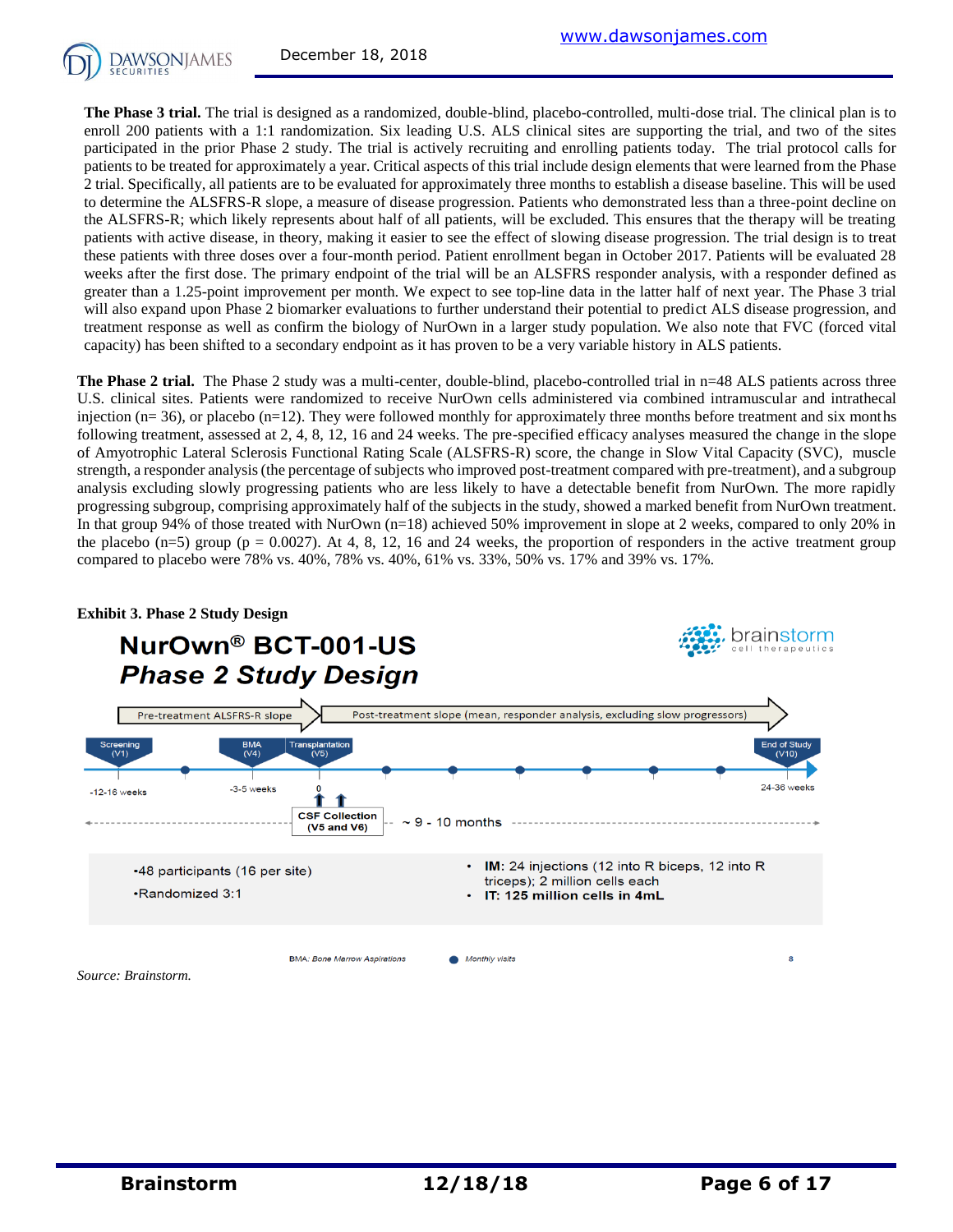

**The Phase 3 trial.** The trial is designed as a randomized, double-blind, placebo-controlled, multi-dose trial. The clinical plan is to enroll 200 patients with a 1:1 randomization. Six leading U.S. ALS clinical sites are supporting the trial, and two of the sites participated in the prior Phase 2 study. The trial is actively recruiting and enrolling patients today. The trial protocol calls for patients to be treated for approximately a year. Critical aspects of this trial include design elements that were learned from the Phase 2 trial. Specifically, all patients are to be evaluated for approximately three months to establish a disease baseline. This will be used to determine the ALSFRS-R slope, a measure of disease progression. Patients who demonstrated less than a three-point decline on the ALSFRS-R; which likely represents about half of all patients, will be excluded. This ensures that the therapy will be treating patients with active disease, in theory, making it easier to see the effect of slowing disease progression. The trial design is to treat these patients with three doses over a four-month period. Patient enrollment began in October 2017. Patients will be evaluated 28 weeks after the first dose. The primary endpoint of the trial will be an ALSFRS responder analysis, with a responder defined as greater than a 1.25-point improvement per month. We expect to see top-line data in the latter half of next year. The Phase 3 trial will also expand upon Phase 2 biomarker evaluations to further understand their potential to predict ALS disease progression, and treatment response as well as confirm the biology of NurOwn in a larger study population. We also note that FVC (forced vital capacity) has been shifted to a secondary endpoint as it has proven to be a very variable history in ALS patients.

**The Phase 2 trial.** The Phase 2 study was a multi-center, double-blind, placebo-controlled trial in n=48 ALS patients across three U.S. clinical sites. Patients were randomized to receive NurOwn cells administered via combined intramuscular and intrathecal injection (n= 36), or placebo (n=12). They were followed monthly for approximately three months before treatment and six months following treatment, assessed at 2, 4, 8, 12, 16 and 24 weeks. The pre-specified efficacy analyses measured the change in the slope of Amyotrophic Lateral Sclerosis Functional Rating Scale (ALSFRS-R) score, the change in Slow Vital Capacity (SVC), muscle strength, a responder analysis (the percentage of subjects who improved post-treatment compared with pre-treatment), and a subgroup analysis excluding slowly progressing patients who are less likely to have a detectable benefit from NurOwn. The more rapidly progressing subgroup, comprising approximately half of the subjects in the study, showed a marked benefit from NurOwn treatment. In that group 94% of those treated with NurOwn (n=18) achieved 50% improvement in slope at 2 weeks, compared to only 20% in the placebo  $(n=5)$  group (p = 0.0027). At 4, 8, 12, 16 and 24 weeks, the proportion of responders in the active treatment group compared to placebo were 78% vs. 40%, 78% vs. 40%, 61% vs. 33%, 50% vs. 17% and 39% vs. 17%.



#### **Exhibit 3. Phase 2 Study Design**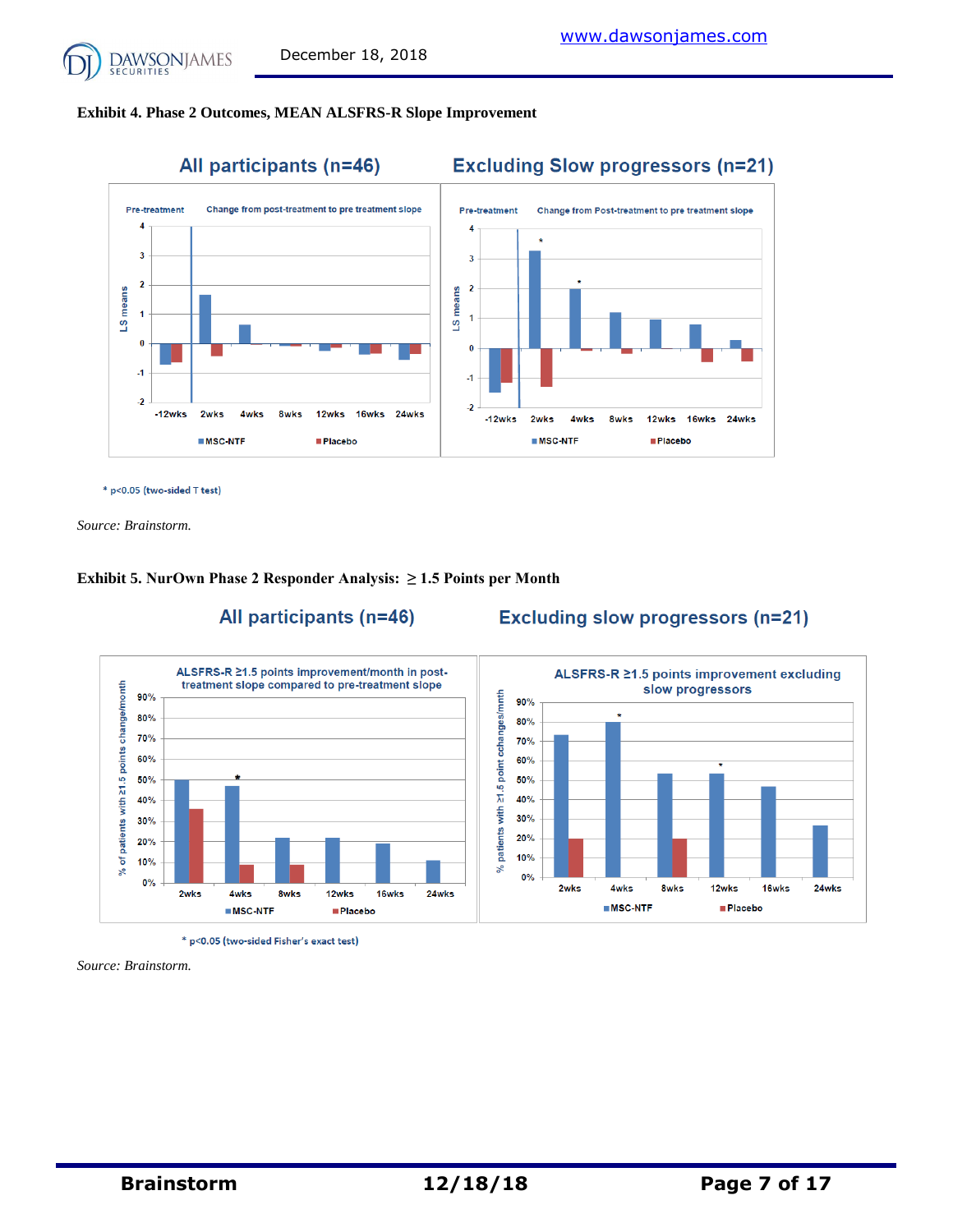

#### **Exhibit 4. Phase 2 Outcomes, MEAN ALSFRS-R Slope Improvement**



\* p<0.05 (two-sided T test)

*Source: Brainstorm.*

#### **Exhibit 5. NurOwn Phase 2 Responder Analysis: ≥ 1.5 Points per Month**



All participants (n=46)

## **Excluding slow progressors (n=21)**

\* p<0.05 (two-sided Fisher's exact test)

*Source: Brainstorm.*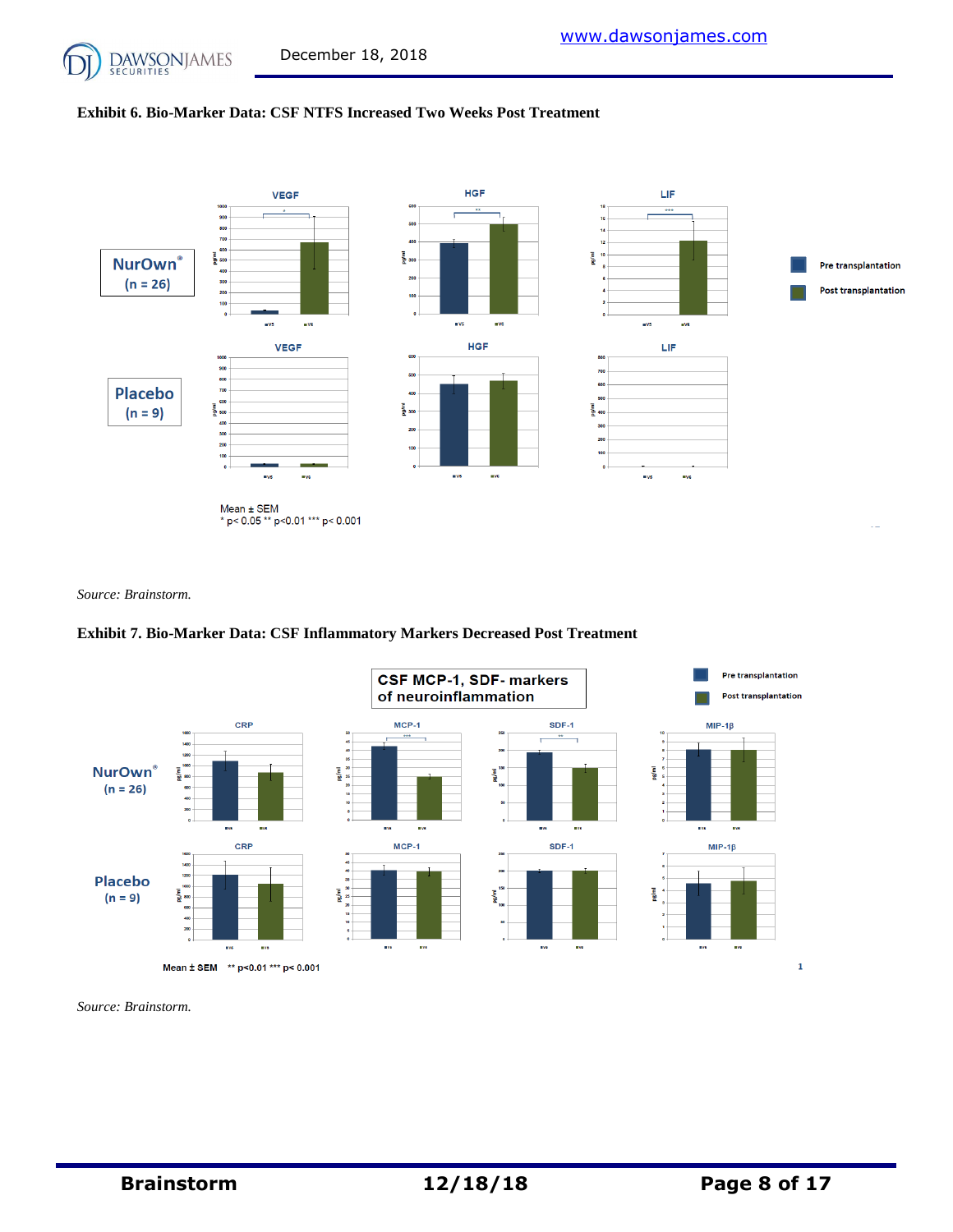#### **Exhibit 6. Bio-Marker Data: CSF NTFS Increased Two Weeks Post Treatment**



*Source: Brainstorm.*

#### **Exhibit 7. Bio-Marker Data: CSF Inflammatory Markers Decreased Post Treatment**



*Source: Brainstorm.*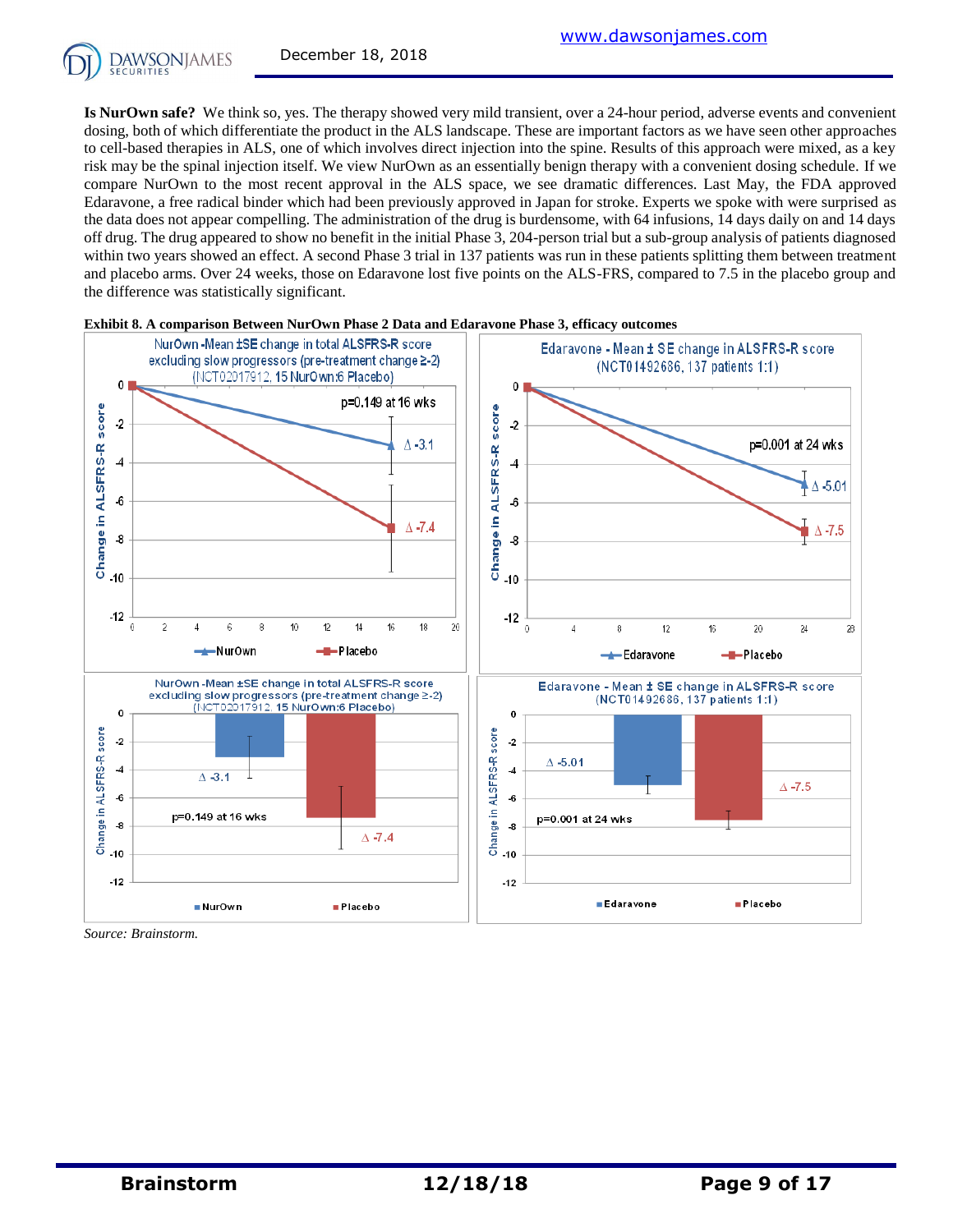

**Is NurOwn safe?** We think so, yes. The therapy showed very mild transient, over a 24-hour period, adverse events and convenient dosing, both of which differentiate the product in the ALS landscape. These are important factors as we have seen other approaches to cell-based therapies in ALS, one of which involves direct injection into the spine. Results of this approach were mixed, as a key risk may be the spinal injection itself. We view NurOwn as an essentially benign therapy with a convenient dosing schedule. If we compare NurOwn to the most recent approval in the ALS space, we see dramatic differences. Last May, the FDA approved Edaravone, a free radical binder which had been previously approved in Japan for stroke. Experts we spoke with were surprised as the data does not appear compelling. The administration of the drug is burdensome, with 64 infusions, 14 days daily on and 14 days off drug. The drug appeared to show no benefit in the initial Phase 3, 204-person trial but a sub-group analysis of patients diagnosed within two years showed an effect. A second Phase 3 trial in 137 patients was run in these patients splitting them between treatment and placebo arms. Over 24 weeks, those on Edaravone lost five points on the ALS-FRS, compared to 7.5 in the placebo group and the difference was statistically significant.



**Exhibit 8. A comparison Between NurOwn Phase 2 Data and Edaravone Phase 3, efficacy outcomes**

*Source: Brainstorm.*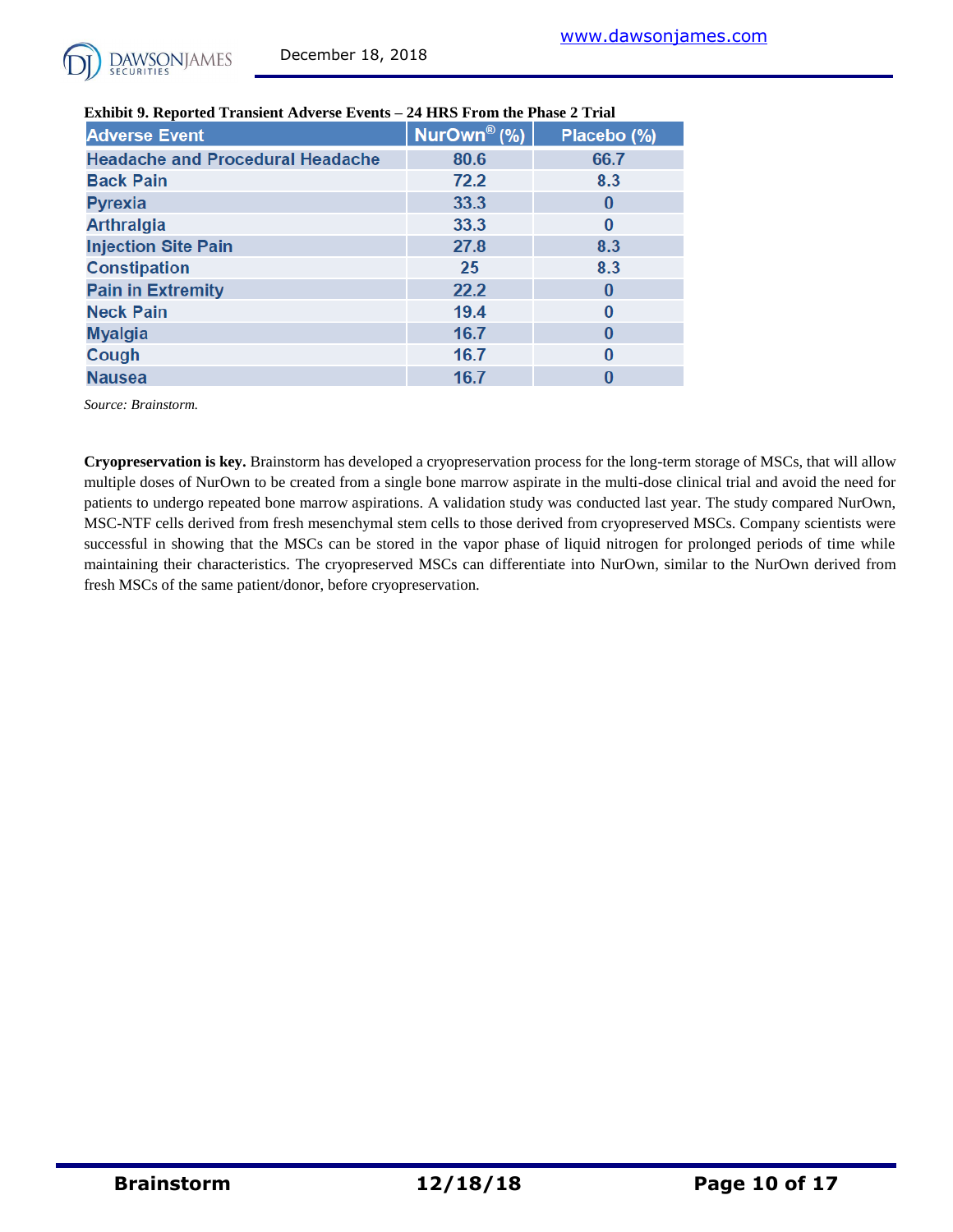

| <b>Adverse Event</b>                    | NurOwn <sup>®</sup> (%) | Placebo (%)  |
|-----------------------------------------|-------------------------|--------------|
| <b>Headache and Procedural Headache</b> | 80.6                    | 66.7         |
| <b>Back Pain</b>                        | 72.2                    | 8.3          |
| <b>Pyrexia</b>                          | 33.3                    | $\bf{0}$     |
| <b>Arthralgia</b>                       | 33.3                    | $\bf{0}$     |
| <b>Injection Site Pain</b>              | 27.8                    | 8.3          |
| <b>Constipation</b>                     | 25                      | 8.3          |
| <b>Pain in Extremity</b>                | 22.2                    | $\mathbf{0}$ |
| <b>Neck Pain</b>                        | 19.4                    | $\bf{0}$     |
| <b>Myalgia</b>                          | 16.7                    | $\bf{0}$     |
| Cough                                   | 16.7                    | 0            |
| <b>Nausea</b>                           | 16.7                    | 0            |

#### **Exhibit 9. Reported Transient Adverse Events – 24 HRS From the Phase 2 Trial**

*Source: Brainstorm.*

**Cryopreservation is key.** Brainstorm has developed a cryopreservation process for the long-term storage of MSCs, that will allow multiple doses of NurOwn to be created from a single bone marrow aspirate in the multi-dose clinical trial and avoid the need for patients to undergo repeated bone marrow aspirations. A validation study was conducted last year. The study compared NurOwn, MSC-NTF cells derived from fresh mesenchymal stem cells to those derived from cryopreserved MSCs. Company scientists were successful in showing that the MSCs can be stored in the vapor phase of liquid nitrogen for prolonged periods of time while maintaining their characteristics. The cryopreserved MSCs can differentiate into NurOwn, similar to the NurOwn derived from fresh MSCs of the same patient/donor, before cryopreservation.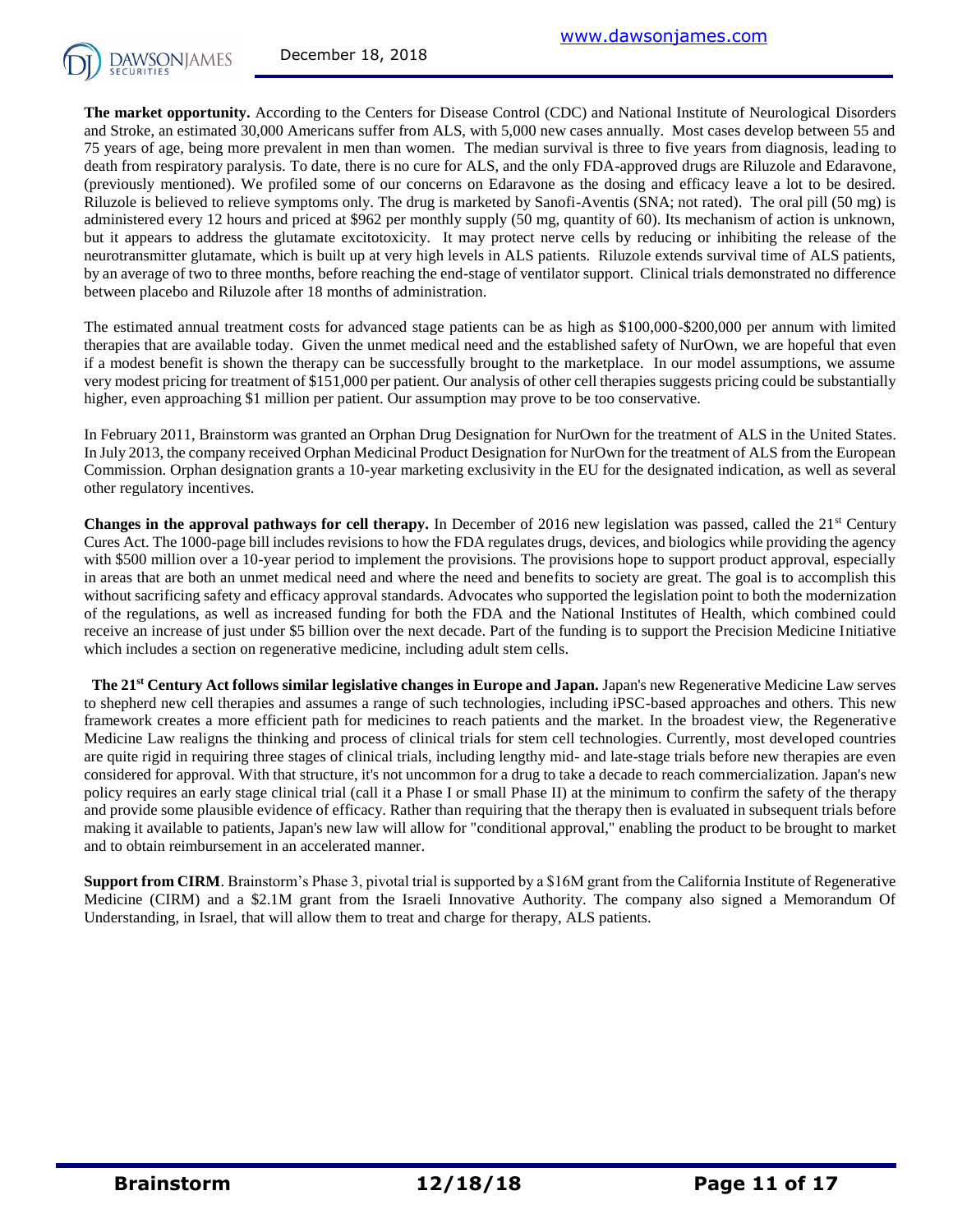

**The market opportunity.** According to the Centers for Disease Control (CDC) and National Institute of Neurological Disorders and Stroke, an estimated 30,000 Americans suffer from ALS, with 5,000 new cases annually. Most cases develop between 55 and 75 years of age, being more prevalent in men than women. The median survival is three to five years from diagnosis, leading to death from respiratory paralysis. To date, there is no cure for ALS, and the only FDA-approved drugs are Riluzole and Edaravone, (previously mentioned). We profiled some of our concerns on Edaravone as the dosing and efficacy leave a lot to be desired. Riluzole is believed to relieve symptoms only. The drug is marketed by Sanofi-Aventis (SNA; not rated). The oral pill (50 mg) is administered every 12 hours and priced at \$962 per monthly supply (50 mg, quantity of 60). Its mechanism of action is unknown, but it appears to address the glutamate excitotoxicity. It may protect nerve cells by reducing or inhibiting the release of the neurotransmitter glutamate, which is built up at very high levels in ALS patients. Riluzole extends survival time of ALS patients, by an average of two to three months, before reaching the end-stage of ventilator support. Clinical trials demonstrated no difference between placebo and Riluzole after 18 months of administration.

The estimated annual treatment costs for advanced stage patients can be as high as \$100,000-\$200,000 per annum with limited therapies that are available today. Given the unmet medical need and the established safety of NurOwn, we are hopeful that even if a modest benefit is shown the therapy can be successfully brought to the marketplace. In our model assumptions, we assume very modest pricing for treatment of \$151,000 per patient. Our analysis of other cell therapies suggests pricing could be substantially higher, even approaching \$1 million per patient. Our assumption may prove to be too conservative.

In February 2011, Brainstorm was granted an Orphan Drug Designation for NurOwn for the treatment of ALS in the United States. In July 2013, the company received Orphan Medicinal Product Designation for NurOwn for the treatment of ALS from the European Commission. Orphan designation grants a 10-year marketing exclusivity in the EU for the designated indication, as well as several other regulatory incentives.

**Changes in the approval pathways for cell therapy.** In December of 2016 new legislation was passed, called the 21<sup>st</sup> Century Cures Act. The 1000-page bill includes revisions to how the FDA regulates drugs, devices, and biologics while providing the agency with \$500 million over a 10-year period to implement the provisions. The provisions hope to support product approval, especially in areas that are both an unmet medical need and where the need and benefits to society are great. The goal is to accomplish this without sacrificing safety and efficacy approval standards. Advocates who supported the legislation point to both the modernization of the regulations, as well as increased funding for both the FDA and the National Institutes of Health, which combined could receive an increase of just under \$5 billion over the next decade. Part of the funding is to support the Precision Medicine Initiative which includes a section on regenerative medicine, including adult stem cells.

 **The 21st Century Act follows similar legislative changes in Europe and Japan.** Japan's new Regenerative Medicine Law serves to shepherd new cell therapies and assumes a range of such technologies, including iPSC-based approaches and others. This new framework creates a more efficient path for medicines to reach patients and the market. In the broadest view, the Regenerative Medicine Law realigns the thinking and process of clinical trials for stem cell technologies. Currently, most developed countries are quite rigid in requiring three stages of clinical trials, including lengthy mid- and late-stage trials before new therapies are even considered for approval. With that structure, it's not uncommon for a drug to take a decade to reach commercialization. Japan's new policy requires an early stage clinical trial (call it a Phase I or small Phase II) at the minimum to confirm the safety of the therapy and provide some plausible evidence of efficacy. Rather than requiring that the therapy then is evaluated in subsequent trials before making it available to patients, Japan's new law will allow for "conditional approval," enabling the product to be brought to market and to obtain reimbursement in an accelerated manner.

**Support from CIRM**. Brainstorm's Phase 3, pivotal trial is supported by a \$16M grant from the California Institute of Regenerative Medicine (CIRM) and a \$2.1M grant from the Israeli Innovative Authority. The company also signed a Memorandum Of Understanding, in Israel, that will allow them to treat and charge for therapy, ALS patients.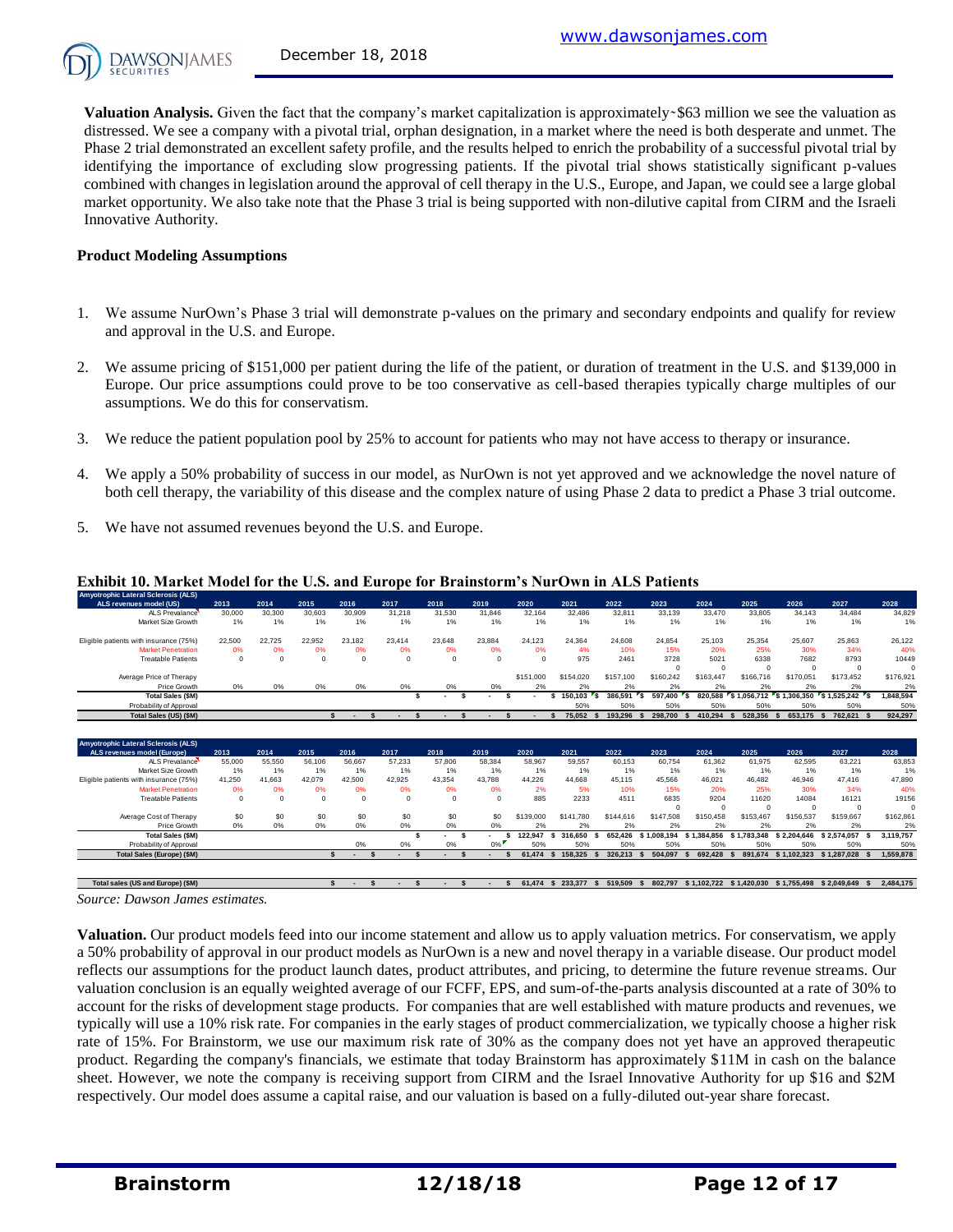

**Valuation Analysis.** Given the fact that the company's market capitalization is approximately  $\frac{1}{563}$  million we see the valuation as distressed. We see a company with a pivotal trial, orphan designation, in a market where the need is both desperate and unmet. The Phase 2 trial demonstrated an excellent safety profile, and the results helped to enrich the probability of a successful pivotal trial by identifying the importance of excluding slow progressing patients. If the pivotal trial shows statistically significant p-values combined with changes in legislation around the approval of cell therapy in the U.S., Europe, and Japan, we could see a large global market opportunity. We also take note that the Phase 3 trial is being supported with non-dilutive capital from CIRM and the Israeli Innovative Authority.

#### **Product Modeling Assumptions**

- 1. We assume NurOwn's Phase 3 trial will demonstrate p-values on the primary and secondary endpoints and qualify for review and approval in the U.S. and Europe.
- 2. We assume pricing of \$151,000 per patient during the life of the patient, or duration of treatment in the U.S. and \$139,000 in Europe. Our price assumptions could prove to be too conservative as cell-based therapies typically charge multiples of our assumptions. We do this for conservatism.
- 3. We reduce the patient population pool by 25% to account for patients who may not have access to therapy or insurance.
- 4. We apply a 50% probability of success in our model, as NurOwn is not yet approved and we acknowledge the novel nature of both cell therapy, the variability of this disease and the complex nature of using Phase 2 data to predict a Phase 3 trial outcome.
- 5. We have not assumed revenues beyond the U.S. and Europe.

| <b>Amyotrophic Lateral Sclerosis (ALS)</b>                   |          |          |          |                                                |                          |              |          | <b>Exhibit 10. Market Model for the U.S. and Europe for Brainstorm's NurOwn in ALS Patients</b> |                      |                |                |                |             |                                        |                                        |                  |
|--------------------------------------------------------------|----------|----------|----------|------------------------------------------------|--------------------------|--------------|----------|-------------------------------------------------------------------------------------------------|----------------------|----------------|----------------|----------------|-------------|----------------------------------------|----------------------------------------|------------------|
| ALS revenues model (US)                                      | 2013     | 2014     | 2015     | 2016                                           | 2017                     | 2018         | 2019     | 2020                                                                                            | 2021                 | 2022           | 2023           | 2024           | 2025        | 2026                                   | 2027                                   | 2028             |
| Al S Prevalance                                              | 30,000   | 30,300   | 30,603   | 30,909                                         | 31.218                   | 31.530       | 31,846   | 32.164                                                                                          | 32,486               | 32.811         | 33.139         | 33,470         | 33,805      | 34.143                                 | 34.484                                 | 34,829           |
| Market Size Growth                                           | 1%       | 1%       | 1%       | 1%                                             | 1%                       | 1%           | $1\%$    | 1%                                                                                              | 1%                   | 1%             | 1%             | 1%             | 1%          | 1%                                     | 1%                                     | 1%               |
| Eligible patients with insurance (75%)                       | 22,500   | 22.725   | 22.952   | 23.182                                         | 23.414                   | 23.648       | 23.884   | 24.123                                                                                          | 24.364               | 24.608         | 24.854         | 25.103         | 25.354      | 25.607                                 | 25.863                                 | 26.122           |
| <b>Market Penetration</b>                                    | 0%       | 0%       | 0%       | 0%                                             | 0%                       | 0%           | 0%       | 0%                                                                                              | 4%                   | 10%            | 15%            | 20%            | 25%         | 30%                                    | 34%                                    | 40%              |
| <b>Treatable Patients</b>                                    | $\Omega$ | $\Omega$ | $\Omega$ | $\Omega$                                       | $\Omega$                 | $\Omega$     | $\Omega$ | $\Omega$                                                                                        | 975                  | 2461           | 3728           | 5021           | 6338        | 7682                                   | 8793                                   | 10449            |
|                                                              |          |          |          |                                                |                          |              |          |                                                                                                 |                      |                | $\Omega$       | $\Omega$       | $\Omega$    | $\Omega$                               | $^{\circ}$                             | $^{\circ}$       |
| Average Price of Therapy                                     |          |          |          |                                                |                          |              |          | \$151,000                                                                                       | \$154,020            | \$157,100      | \$160,242      | \$163,447      | \$166,716   | \$170,051                              | \$173.452                              | \$176,921        |
| Price Growth                                                 | 0%       | 0%       | 0%       | 0%                                             | 0%                       | 0%           | 0%       | 2%                                                                                              | 2%                   | 2%             | 2%             | 2%             | 2%          | 2%                                     | 2%                                     | 2%               |
| <b>Total Sales (\$M)</b>                                     |          |          |          |                                                | s                        | \$.          |          | s                                                                                               | 150.103<br>s<br>Γs.  | 386.591<br>٠s  | 597.400        | 820.588        | 51.056.712  | S 1.306.350                            | S 1.525.242<br>$\mathbf{r}_\mathbf{S}$ | 1,848,594        |
| Probability of Approval                                      |          |          |          |                                                |                          |              |          |                                                                                                 | 50%                  | 50%            | 50%            | 50%            | 50%         | 50%                                    | 50%                                    | 50%              |
| Total Sales (US) (\$M)                                       |          |          |          | s.<br>$\mathbf{s}$<br>$\overline{\phantom{a}}$ | S.                       | $\mathbf{s}$ |          | $\mathbf{s}$                                                                                    | 75,052<br>S.         | 193.296        | 298,700        | 410.294        | 528.356     | 653.175                                | 762.621                                | 924.297          |
|                                                              |          |          |          |                                                |                          |              |          |                                                                                                 |                      |                |                |                |             |                                        |                                        |                  |
| Amyotrophic Lateral Sclerosis (ALS)                          |          |          |          |                                                |                          |              |          |                                                                                                 |                      |                |                |                |             |                                        |                                        |                  |
| ALS revenues model (Europe)                                  | 2013     | 2014     | 2015     | 2016                                           | 2017                     | 2018         | 2019     | 2020                                                                                            | 2021                 | 2022           | 2023           | 2024           | 2025        | 2026                                   | 2027                                   | 2028             |
| Al S Prevalance                                              | 55,000   | 55,550   | 56.106   | 56.667                                         | 57.233                   | 57,806       | 58.384   | 58.967                                                                                          | 59.557               | 60.153         | 60.754         | 61.362         | 61.975      | 62.595                                 | 63,221                                 | 63,853           |
| Market Size Growth                                           | 1%       | 1%       | 1%       | 1%                                             | 1%                       | 1%           | 1%       | 1%                                                                                              | 1%                   | 1%             | 1%             | 1%             | 1%          | 1%                                     | 1%                                     | 1%               |
| Eligible patients with insurance (75%)                       | 41.250   | 41.663   | 42.079   | 42.500                                         | 42.925                   | 43.354       | 43.788   | 44.226                                                                                          | 44.668               | 45.115         | 45.566         | 46.021         | 46.482      | 46.946                                 | 47,416                                 | 47,890           |
| <b>Market Penetration</b>                                    | 0%       | 0%       | 0%       | 0%                                             | 0%                       | 0%           | 0%       | 2%                                                                                              | 5%                   | 10%            | 15%            | 20%            | 25%         | 30%                                    | 34%                                    | 40%              |
| <b>Treatable Patients</b>                                    | $\Omega$ | $\Omega$ | $\Omega$ | $\Omega$                                       | $\Omega$                 | $\Omega$     | $\Omega$ | 885                                                                                             | 2233                 | 4511           | 6835           | 9204           | 11620       | 14084                                  | 16121                                  | 19156            |
|                                                              |          |          |          |                                                |                          |              |          |                                                                                                 |                      |                | $\Omega$       | $\Omega$       | $\Omega$    | $^{\circ}$                             | $^{\circ}$                             | $\mathbf 0$      |
| Average Cost of Therapy                                      | \$0      | \$0      | \$0      | \$0                                            | \$0                      | \$0          | \$0      | \$139,000                                                                                       | \$141.780            | \$144,616      | \$147,508      | \$150,458      | \$153,467   | \$156,537                              | \$159,667                              | \$162,861        |
|                                                              | 0%       | 0%       | 0%       | 0%                                             | 0%                       | 0%           | 0%       | 2%                                                                                              | 2%                   | 2%             | 2%             | 2%             | 2%          | 2%                                     | 2%                                     | 2%               |
| Price Growth                                                 |          |          |          |                                                | Ś                        |              |          | 122.947                                                                                         | 316,650<br>s         | 652,426        | \$1,008.194    | \$1,384,856    | \$1,783,348 | \$2.204.646                            | \$2.574.057<br>s.                      | 3.119.757        |
| <b>Total Sales (\$M)</b>                                     |          |          |          |                                                |                          |              |          |                                                                                                 |                      |                |                |                |             |                                        |                                        |                  |
| Probability of Approval<br><b>Total Sales (Europe) (\$M)</b> |          |          |          | 0%<br>$\mathbf{\hat{S}}$                       | 0%<br>$\mathbf{\hat{z}}$ | 0%           | $0\%$    | 50%<br>61.474                                                                                   | 50%<br>158,325<br>-S | 50%<br>326.213 | 50%<br>504.097 | 50%<br>692.428 | 50%         | 50%<br>891.674 \$1.102.323 \$1.287.028 | 50%                                    | 50%<br>1.559.878 |

#### **Exhibit 10. Market Model for the U.S. and Europe for Brainstorm's NurOwn in ALS Patients**

Source: Dawson James estimates.

**Valuation.** Our product models feed into our income statement and allow us to apply valuation metrics. For conservatism, we apply a 50% probability of approval in our product models as NurOwn is a new and novel therapy in a variable disease. Our product model reflects our assumptions for the product launch dates, product attributes, and pricing, to determine the future revenue streams. Our valuation conclusion is an equally weighted average of our FCFF, EPS, and sum-of-the-parts analysis discounted at a rate of 30% to account for the risks of development stage products. For companies that are well established with mature products and revenues, we typically will use a 10% risk rate. For companies in the early stages of product commercialization, we typically choose a higher risk rate of 15%. For Brainstorm, we use our maximum risk rate of 30% as the company does not yet have an approved therapeutic product. Regarding the company's financials, we estimate that today Brainstorm has approximately \$11M in cash on the balance sheet. However, we note the company is receiving support from CIRM and the Israel Innovative Authority for up \$16 and \$2M respectively. Our model does assume a capital raise, and our valuation is based on a fully-diluted out-year share forecast.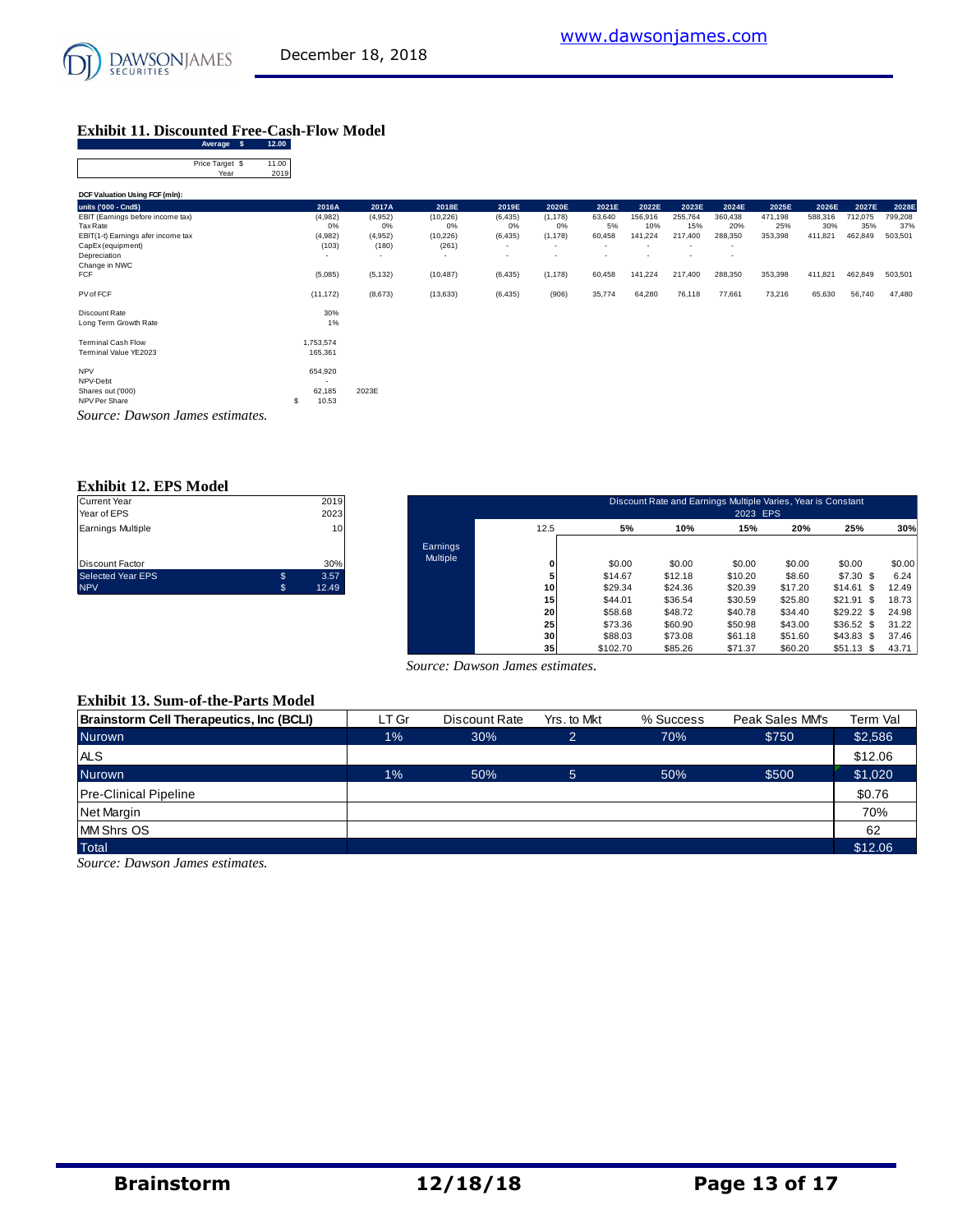# [www.dawsonjames.com](http://www.dawsonjames.com/)

## **Exhibit 11. Discounted Free-Cash-Flow Model**

| Average<br>- \$                    | 12.00         |                          |          |           |                          |                          |                          |         |                          |          |         |         |         |         |
|------------------------------------|---------------|--------------------------|----------|-----------|--------------------------|--------------------------|--------------------------|---------|--------------------------|----------|---------|---------|---------|---------|
| Price Target \$<br>Year            | 11.00<br>2019 |                          |          |           |                          |                          |                          |         |                          |          |         |         |         |         |
| DCF Valuation Using FCF (mln):     |               |                          |          |           |                          |                          |                          |         |                          |          |         |         |         |         |
| units ('000 - Cnd\$)               |               | 2016A                    | 2017A    | 2018E     | 2019E                    | 2020E                    | 2021E                    | 2022E   | 2023E                    | 2024E    | 2025E   | 2026E   | 2027E   | 2028E   |
| EBIT (Earnings before income tax)  |               | (4,982)                  | (4,952)  | (10, 226) | (6, 435)                 | (1, 178)                 | 63,640                   | 156,916 | 255,764                  | 360,438  | 471,198 | 588,316 | 712,075 | 799,208 |
| Tax Rate                           |               | 0%                       | 0%       | 0%        | 0%                       | 0%                       | 5%                       | 10%     | 15%                      | 20%      | 25%     | 30%     | 35%     | 37%     |
| EBIT(1-t) Earnings afer income tax |               | (4,982)                  | (4,952)  | (10, 226) | (6, 435)                 | (1, 178)                 | 60,458                   | 141,224 | 217,400                  | 288,350  | 353,398 | 411,821 | 462,849 | 503,501 |
| CapEx (equipment)                  |               | (103)                    | (180)    | (261)     | $\overline{\phantom{a}}$ | $\overline{\phantom{a}}$ | ٠                        | $\sim$  | ٠                        | $\sim$   |         |         |         |         |
| Depreciation                       |               | $\overline{\phantom{a}}$ | $\sim$   | ٠         | $\overline{\phantom{a}}$ | ٠                        | $\overline{\phantom{a}}$ | $\sim$  | $\overline{\phantom{a}}$ | <b>.</b> |         |         |         |         |
| Change in NWC                      |               |                          |          |           |                          |                          |                          |         |                          |          |         |         |         |         |
| <b>FCF</b>                         |               | (5,085)                  | (5, 132) | (10, 487) | (6, 435)                 | (1, 178)                 | 60,458                   | 141,224 | 217,400                  | 288,350  | 353,398 | 411,821 | 462,849 | 503,501 |
| PV of FCF                          |               | (11, 172)                | (8,673)  | (13, 633) | (6, 435)                 | (906)                    | 35,774                   | 64,280  | 76,118                   | 77,661   | 73,216  | 65,630  | 56,740  | 47,480  |
| Discount Rate                      |               | 30%                      |          |           |                          |                          |                          |         |                          |          |         |         |         |         |
| Long Term Growth Rate              |               | 1%                       |          |           |                          |                          |                          |         |                          |          |         |         |         |         |
| <b>Terminal Cash Flow</b>          |               | 1,753,574                |          |           |                          |                          |                          |         |                          |          |         |         |         |         |
| Terminal Value YE2023              |               | 165,361                  |          |           |                          |                          |                          |         |                          |          |         |         |         |         |
| <b>NPV</b>                         |               | 654,920                  |          |           |                          |                          |                          |         |                          |          |         |         |         |         |
| NPV-Debt                           |               | ٠                        |          |           |                          |                          |                          |         |                          |          |         |         |         |         |
| Shares out ('000)                  |               | 62,185                   | 2023E    |           |                          |                          |                          |         |                          |          |         |         |         |         |
| NPV Per Share                      | s             | 10.53                    |          |           |                          |                          |                          |         |                          |          |         |         |         |         |
| Source: Dawson James estimates.    |               |                          |          |           |                          |                          |                          |         |                          |          |         |         |         |         |

|    | 2019  |
|----|-------|
|    | 2023  |
|    | 10    |
|    | 30%   |
| \$ | 3.57  |
| S. | 12.49 |
|    |       |

| Current Year<br>Year of EPS |              | 2019<br>2023 |                 |                 |          | Discount Rate and Earnings Multiple Varies, Year is Constant | 2023 EPS |         |               |        |
|-----------------------------|--------------|--------------|-----------------|-----------------|----------|--------------------------------------------------------------|----------|---------|---------------|--------|
| Earnings Multiple           |              | 10           |                 | 12.5            | 5%       | 10%                                                          | 15%      | 20%     | 25%           | 30%    |
|                             |              |              | Earnings        |                 |          |                                                              |          |         |               |        |
| Discount Factor             |              | 30%          | <b>Multiple</b> | 0               | \$0.00   | \$0.00                                                       | \$0.00   | \$0.00  | \$0.00        | \$0.00 |
| Selected Year EPS           | \$           | 3.57         |                 |                 | \$14.67  | \$12.18                                                      | \$10.20  | \$8.60  | \$7.30\$      | 6.24   |
| <b>NPV</b>                  | $\mathbb{S}$ | 12.49        |                 | 10              | \$29.34  | \$24.36                                                      | \$20.39  | \$17.20 | \$14.61<br>S. | 12.49  |
|                             |              |              |                 | 15              | \$44.01  | \$36.54                                                      | \$30.59  | \$25.80 | \$21.91<br>S  | 18.73  |
|                             |              |              |                 | 20              | \$58.68  | \$48.72                                                      | \$40.78  | \$34.40 | \$29.22<br>-S | 24.98  |
|                             |              |              |                 | 25              | \$73.36  | \$60.90                                                      | \$50.98  | \$43.00 | \$36.52<br>S  | 31.22  |
|                             |              |              |                 | 30              | \$88.03  | \$73.08                                                      | \$61.18  | \$51.60 | \$43.83<br>-S | 37.46  |
|                             |              |              |                 | 35 <sub>1</sub> | \$102.70 | \$85.26                                                      | \$71.37  | \$60.20 | $$51.13$ \$   | 43.71  |

#### **Exhibit 13. Sum-of-the-Parts Model**

| Source: Dawson James estimates.           |       |               |                |           |                 |          |  |  |  |  |
|-------------------------------------------|-------|---------------|----------------|-----------|-----------------|----------|--|--|--|--|
| <b>Exhibit 13. Sum-of-the-Parts Model</b> |       |               |                |           |                 |          |  |  |  |  |
| Brainstorm Cell Therapeutics, Inc (BCLI)  | LT Gr | Discount Rate | Yrs. to Mkt    | % Success | Peak Sales MM's | Term Val |  |  |  |  |
| <b>Nurown</b>                             | $1\%$ | 30%           | $\overline{2}$ | 70%       | \$750           | \$2,586  |  |  |  |  |
| <b>ALS</b>                                |       |               |                |           |                 | \$12.06  |  |  |  |  |
| <b>Nurown</b>                             | $1\%$ | 50%           | $\overline{5}$ | 50%       | \$500           | \$1,020  |  |  |  |  |
| <b>Pre-Clinical Pipeline</b>              |       |               |                |           |                 | \$0.76   |  |  |  |  |
| Net Margin                                |       |               |                |           |                 | 70%      |  |  |  |  |
| <b>MM Shrs OS</b>                         |       |               |                |           |                 | 62       |  |  |  |  |
| <b>Total</b>                              |       |               |                |           |                 | \$12.06  |  |  |  |  |

*Source: Dawson James estimates.*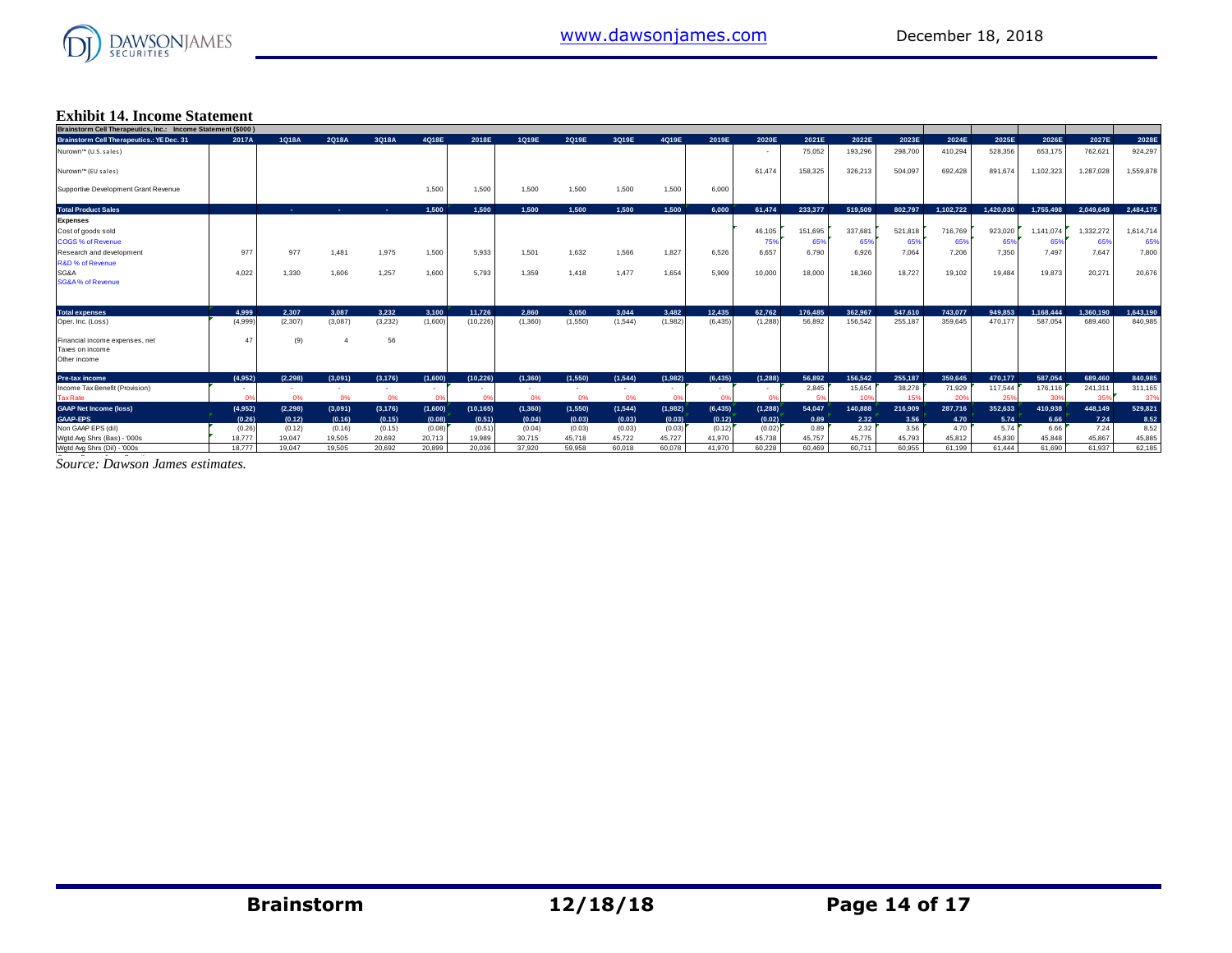

#### **Exhibit 14. Income Statement**

| Brainstorm Cell Therapeutics, Inc.: Income Statement (\$000) |         |          |         |            |         |           |          |         |          |         |          |          |         |         |         |           |           |           |           |           |
|--------------------------------------------------------------|---------|----------|---------|------------|---------|-----------|----------|---------|----------|---------|----------|----------|---------|---------|---------|-----------|-----------|-----------|-----------|-----------|
| <b>Brainstorm Cell Therapeutics.: YE Dec. 31</b>             | 2017A   | 1Q18A    | 2Q18A   | 3Q18A      | 4Q18E   | 2018E     | 1Q19E    | 2Q19E   | 3Q19E    | 4Q19E   | 2019E    | 2020E    | 2021E   | 2022E   | 2023E   | 2024E     | 2025E     | 2026E     | 2027E     | 2028E     |
| Nurown™ (U.S. sales)                                         |         |          |         |            |         |           |          |         |          |         |          |          | 75,052  | 193,296 | 298,700 | 410,294   | 528,356   | 653,175   | 762,621   | 924,297   |
| Nurown™ (EU sales)                                           |         |          |         |            |         |           |          |         |          |         |          | 61.474   | 158,325 | 326,213 | 504,097 | 692,428   | 891.674   | 1,102,323 | 1.287.028 | 1,559,878 |
| Supportive Development Grant Revenue                         |         |          |         |            | 1,500   | 1,500     | 1.500    | 1.500   | 1,500    | 1,500   | 6,000    |          |         |         |         |           |           |           |           |           |
| <b>Total Product Sales</b>                                   |         | ж.       | н.      | <b>COL</b> | 1.500   | 1.500     | 1.500    | 1.500   | 1.500    | 1.500   | 6.000    | 61.474   | 233.377 | 519,509 | 802.797 | 1.102.722 | 1.420.030 | 1.755.498 | 2.049.649 | 2.484.175 |
| <b>Expenses</b>                                              |         |          |         |            |         |           |          |         |          |         |          |          |         |         |         |           |           |           |           |           |
| Cost of goods sold                                           |         |          |         |            |         |           |          |         |          |         |          | 46,105   | 151,695 | 337,681 | 521,818 | 716,769   | 923,020   | 1,141,074 | 1,332,272 | 1,614,714 |
| <b>COGS % of Revenue</b>                                     |         |          |         |            |         |           |          |         |          |         |          | 75%      | 65%     | 65%     | 65%     | 65%       | 65%       | 65%       | 65%       | 65%       |
| Research and development                                     | 977     | 977      | 1.481   | 1,975      | 1.500   | 5.933     | 1.501    | 1.632   | 1,566    | 1.827   | 6.526    | 6.657    | 6.790   | 6,926   | 7.064   | 7.206     | 7.350     | 7.497     | 7.647     | 7,800     |
| R&D % of Revenue                                             |         |          |         |            |         |           |          |         |          |         |          |          |         |         |         |           |           |           |           |           |
| SG&A                                                         | 4,022   | 1.330    | 1.606   | 1,257      | 1,600   | 5.793     | 1.359    | 1.418   | 1,477    | 1,654   | 5.909    | 10,000   | 18,000  | 18,360  | 18,727  | 19.102    | 19,484    | 19,873    | 20.271    | 20,676    |
| <b>SG&amp;A% of Revenue</b>                                  |         |          |         |            |         |           |          |         |          |         |          |          |         |         |         |           |           |           |           |           |
| <b>Total expenses</b>                                        | 4.999   | 2.307    | 3.087   | 3.232      | 3.100   | 11.726    | 2.860    | 3.050   | 3.044    | 3.482   | 12.435   | 62.762   | 176,485 | 362.967 | 547.610 | 743,077   | 949,853   | 1.168.444 | 1.360.190 | 1,643,190 |
| Oper. Inc. (Loss)                                            | (4,999) | (2,307)  | (3,087) | (3,232)    | (1,600) | (10, 226) | (1,360)  | (1,550) | (1, 544) | (1,982) | (6, 435) | (1,288)  | 56.892  | 156,542 | 255,187 | 359,645   | 470,177   | 587.054   | 689,460   | 840,985   |
|                                                              |         |          |         |            |         |           |          |         |          |         |          |          |         |         |         |           |           |           |           |           |
| Financial income expenses, net                               | 47      | (9)      |         | 56         |         |           |          |         |          |         |          |          |         |         |         |           |           |           |           |           |
| Taxes on income                                              |         |          |         |            |         |           |          |         |          |         |          |          |         |         |         |           |           |           |           |           |
| Other income                                                 |         |          |         |            |         |           |          |         |          |         |          |          |         |         |         |           |           |           |           |           |
| <b>Pre-tax income</b>                                        | (4.952) | (2.298)  | (3.091) | (3, 176)   | (1.600) | (10.226)  | (1.360)  | (1.550) | (1.544)  | (1.982) | (6.435)  | (1.288)  | 56.892  | 156,542 | 255.187 | 359,645   | 470.177   | 587.054   | 689,460   | 840,985   |
| Income Tax Benefit (Provision)                               |         |          | $\sim$  |            |         |           |          | ٠       |          |         |          |          | 2,845   | 15,654  | 38,278  | 71,929    | 117,544   | 176,116   | 241,311   | 311,165   |
| <b>Tax Rate</b>                                              | na      | 0%       | 0%      | 0%         |         | 0%        | 0%       | 0%      | 0%       |         | 0°       | 0%       | -5%     | 10%     | 15%     | 20%       | 25%       | 30%       | 35%       | 37%       |
| <b>GAAP Net Income (loss)</b>                                | (4,952) | (2, 298) | (3,091) | (3, 176)   | (1,600) | (10, 165) | (1, 360) | (1,550) | (1, 544) | (1,982) | (6, 435) | (1, 288) | 54,047  | 140,888 | 216,909 | 287,716   | 352,633   | 410.938   | 448,149   | 529,821   |
| <b>GAAP-EPS</b>                                              | (0.26)  | (0.12)   | (0.16)  | (0.15)     | (0.08)  | (0.51)    | (0.04)   | (0.03)  | (0.03)   | (0.03)  | (0.12)   | (0.02)   | 0.89    | 2.32    | 3.56    | 4.70      | 5.74      | 6.66      | 7.24      | 8.52      |
| Non GAAP EPS (dil)                                           | (0.26)  | (0.12)   | (0.16)  | (0.15)     | (0.08)  | (0.51)    | (0.04)   | (0.03)  | (0.03)   | (0.03)  | (0.12)   | (0.02)   | 0.89    | 2.32    | 3.56    | 4.70      | 5.74      | 6.66      | 7.24      | 8.52      |
| Wgtd Avg Shrs (Bas) - '000s                                  | 18.777  | 19.047   | 19.505  | 20.692     | 20.713  | 19,989    | 30.715   | 45.718  | 45.722   | 45.727  | 41.970   | 45.738   | 45.757  | 45.775  | 45.793  | 45.812    | 45.830    | 45.848    | 45.867    | 45,885    |
| Wgtd Avg Shrs (Dil) - '000s                                  | 18,777  | 19.047   | 19.505  | 20.692     | 20.899  | 20.036    | 37,920   | 59.958  | 60.018   | 60.078  | 41.970   | 60.228   | 60.469  | 60.711  | 60.955  | 61.199    | 61.444    | 61.690    | 61.937    | 62,185    |

Source: Dawson James estimates.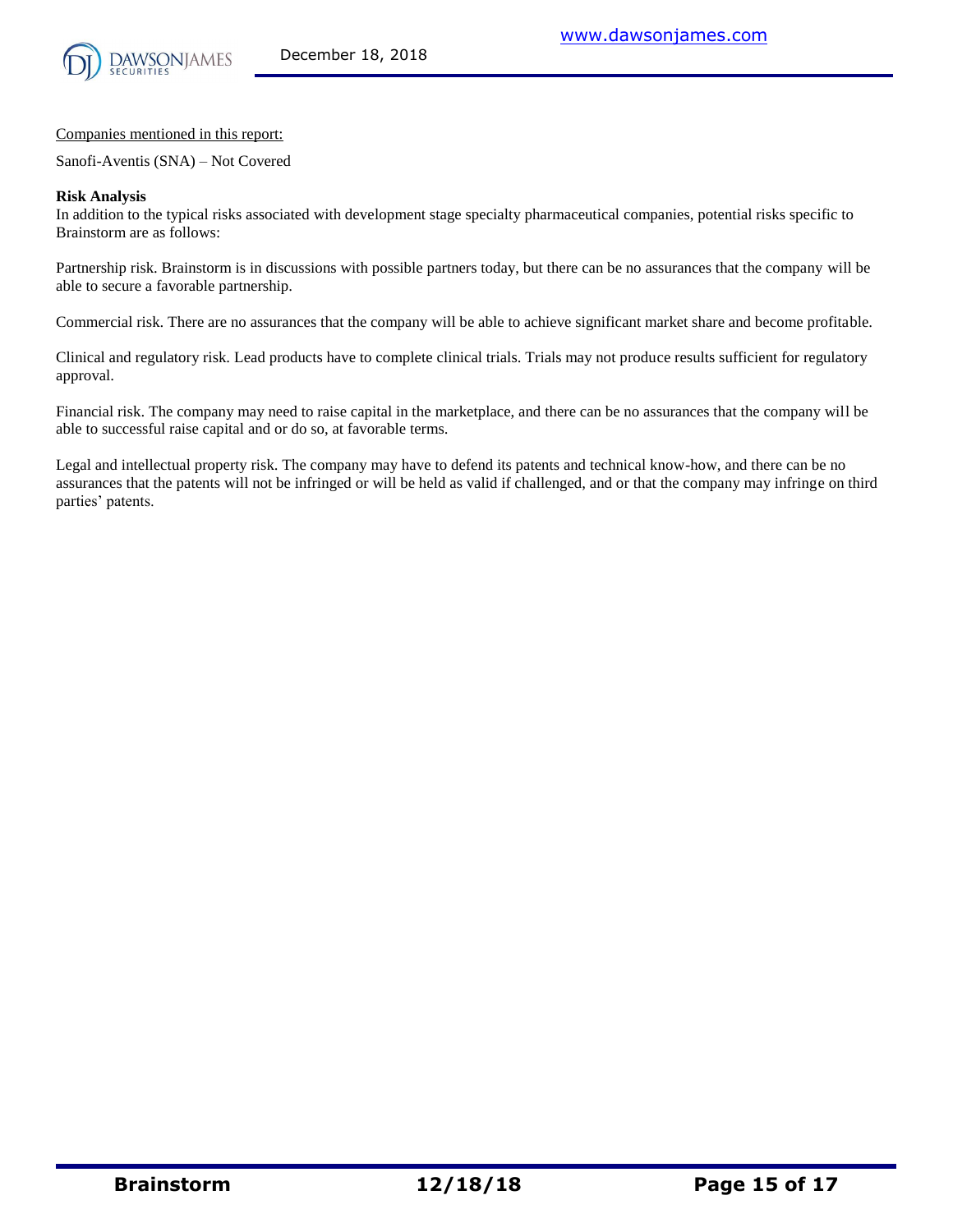

Companies mentioned in this report:

Sanofi-Aventis (SNA) – Not Covered

#### **Risk Analysis**

In addition to the typical risks associated with development stage specialty pharmaceutical companies, potential risks specific to Brainstorm are as follows:

Partnership risk. Brainstorm is in discussions with possible partners today, but there can be no assurances that the company will be able to secure a favorable partnership.

Commercial risk. There are no assurances that the company will be able to achieve significant market share and become profitable.

Clinical and regulatory risk. Lead products have to complete clinical trials. Trials may not produce results sufficient for regulatory approval.

Financial risk. The company may need to raise capital in the marketplace, and there can be no assurances that the company will be able to successful raise capital and or do so, at favorable terms.

Legal and intellectual property risk. The company may have to defend its patents and technical know-how, and there can be no assurances that the patents will not be infringed or will be held as valid if challenged, and or that the company may infringe on third parties' patents.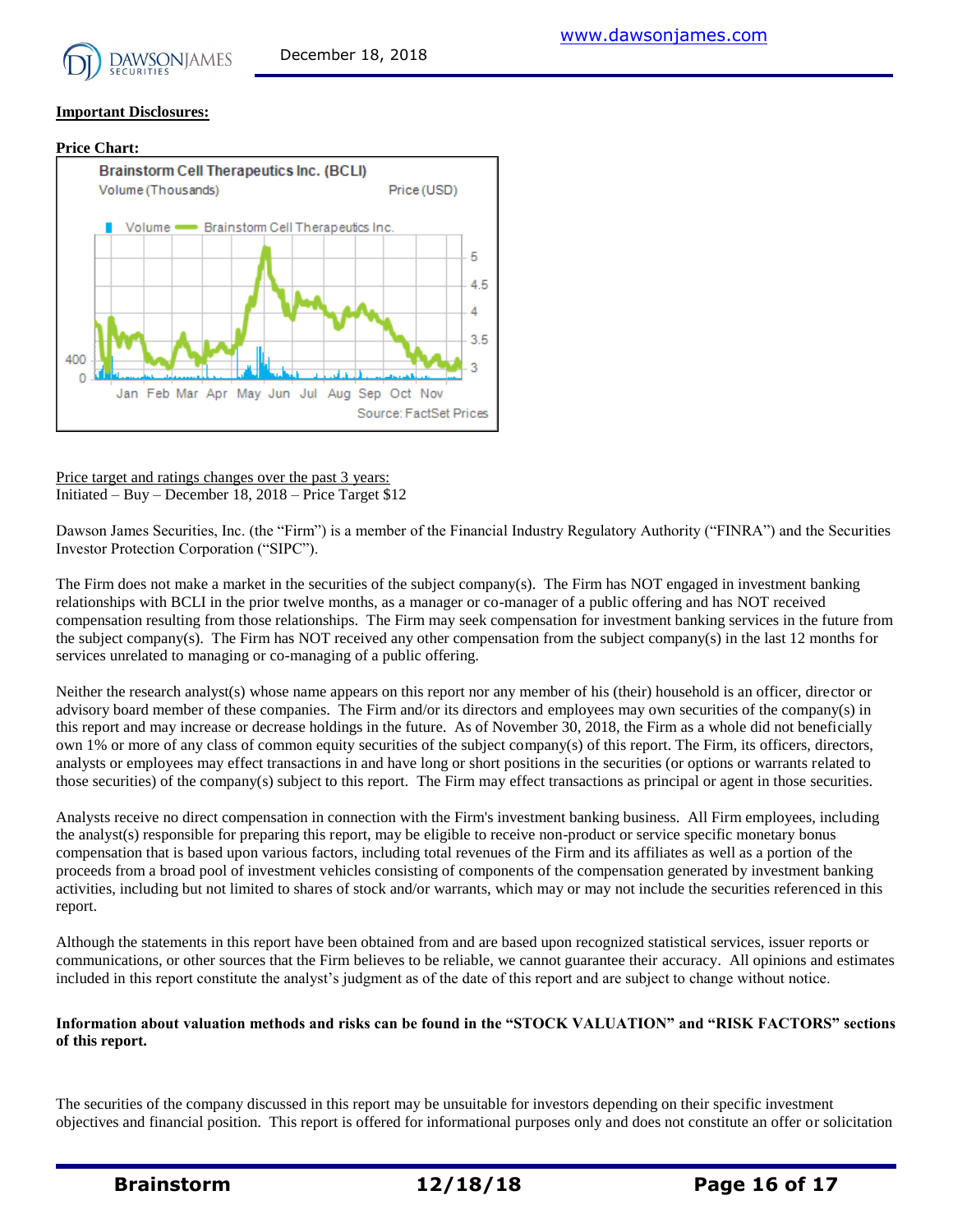

#### **Important Disclosures:**



Price target and ratings changes over the past 3 years: Initiated – Buy – December 18, 2018 – Price Target \$12

Dawson James Securities, Inc. (the "Firm") is a member of the Financial Industry Regulatory Authority ("FINRA") and the Securities Investor Protection Corporation ("SIPC").

The Firm does not make a market in the securities of the subject company(s). The Firm has NOT engaged in investment banking relationships with BCLI in the prior twelve months, as a manager or co-manager of a public offering and has NOT received compensation resulting from those relationships. The Firm may seek compensation for investment banking services in the future from the subject company(s). The Firm has NOT received any other compensation from the subject company(s) in the last 12 months for services unrelated to managing or co-managing of a public offering.

Neither the research analyst(s) whose name appears on this report nor any member of his (their) household is an officer, director or advisory board member of these companies. The Firm and/or its directors and employees may own securities of the company(s) in this report and may increase or decrease holdings in the future. As of November 30, 2018, the Firm as a whole did not beneficially own 1% or more of any class of common equity securities of the subject company(s) of this report. The Firm, its officers, directors, analysts or employees may effect transactions in and have long or short positions in the securities (or options or warrants related to those securities) of the company(s) subject to this report. The Firm may effect transactions as principal or agent in those securities.

Analysts receive no direct compensation in connection with the Firm's investment banking business. All Firm employees, including the analyst(s) responsible for preparing this report, may be eligible to receive non-product or service specific monetary bonus compensation that is based upon various factors, including total revenues of the Firm and its affiliates as well as a portion of the proceeds from a broad pool of investment vehicles consisting of components of the compensation generated by investment banking activities, including but not limited to shares of stock and/or warrants, which may or may not include the securities referenced in this report.

Although the statements in this report have been obtained from and are based upon recognized statistical services, issuer reports or communications, or other sources that the Firm believes to be reliable, we cannot guarantee their accuracy. All opinions and estimates included in this report constitute the analyst's judgment as of the date of this report and are subject to change without notice.

#### **Information about valuation methods and risks can be found in the "STOCK VALUATION" and "RISK FACTORS" sections of this report.**

The securities of the company discussed in this report may be unsuitable for investors depending on their specific investment objectives and financial position. This report is offered for informational purposes only and does not constitute an offer or solicitation